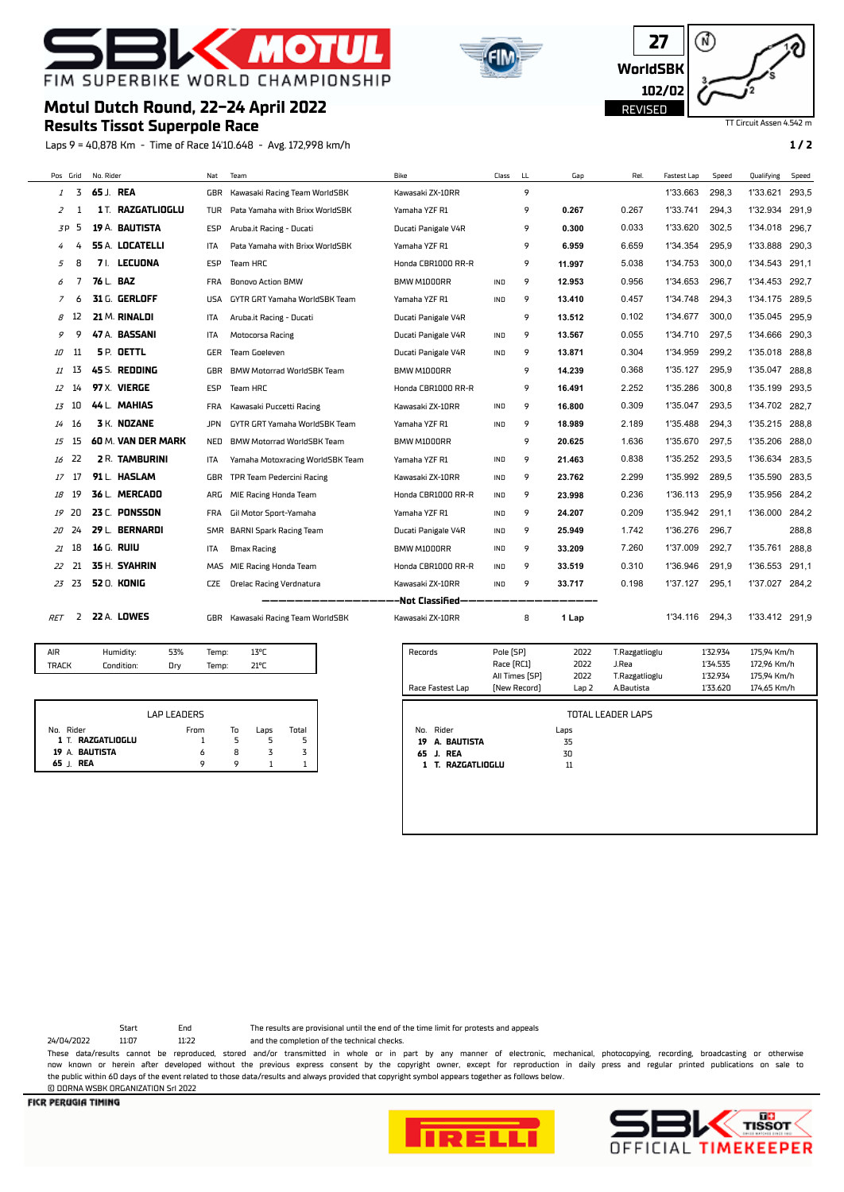

**Results Tissot Superpole Race**

**Motul Dutch Round, 22-24 April 2022**





TT Circuit Assen 4.542 m

#### Laps 9 = 40,878 Km - Time of Race 14'10.648 - Avg. 172,998 km/h **1 / 2**

Pos Grid No. Rider Nat Team Bike Class LL Gap Rel. Fastest Lap Speed Qualifying Speed 3 **65** J. **REA** GBR Kawasaki Racing Team WorldSBK Kawasaki ZX-10RR 9 1'33.663 298,3 1'33.621 293,5 1 **1** T. **RAZGATLIOGLU** TUR Pata Yamaha with Brixx WorldSBK Yamaha YZF R1 9 **0.267** 0.267 1'33.741 294,3 1'32.934 291,9 P 5 **19** A. **BAUTISTA** ESP Aruba.it Racing - Ducati Ducati Panigale V4R 9 **0.300** 0.033 1'33.620 302,5 1'34.018 296,7 4 **55** A. **LOCATELLI** ITA Pata Yamaha with Brixx WorldSBK Yamaha YZF R1 9 **6.959** 6.659 1'34.354 295,9 1'33.888 290,3 8 **7** I. **LECUONA** ESP Team HRC Honda CBR1000 RR-R 9 **11.997** 5.038 1'34.753 300,0 1'34.543 291,1 7 **76** L. **BAZ** FRA Bonovo Action BMW BMW M1000RR IND 9 **12.953** 0.956 1'34.653 296,7 1'34.453 292,7 6 **31** G. **GERLOFF** USA GYTR GRT Yamaha WorldSBK Team Yamaha YZF R1 IND 9 **13.410** 0.457 1'34.748 294,3 1'34.175 289,5 12 **21** M. **RINALDI** ITA Aruba.it Racing - Ducati Ducati Panigale V4R 9 **13.512** 0.102 1'34.677 300,0 1'35.045 295,9 9 **47** A. **BASSANI** ITA Motocorsa Racing Ducati Panigale V4R IND 9 **13.567** 0.055 1'34.710 297,5 1'34.666 290,3 11 **5** P. **OETTL** GER Team Goeleven Ducati Panigale V4R IND 9 **13.871** 0.304 1'34.959 299,2 1'35.018 288,8 13 **45** S. **REDDING** GBR BMW Motorrad WorldSBK Team BMW M1000RR 9 **14.239** 0.368 1'35.127 295,9 1'35.047 288,8 14 **97** X. **VIERGE** ESP Team HRC Honda CBR1000 RR-R 9 **16.491** 2.252 1'35.286 300,8 1'35.199 293,5 10 **44** L. **MAHIAS** FRA Kawasaki Puccetti Racing Kawasaki ZX-10RR IND 9 **16.800** 0.309 1'35.047 293,5 1'34.702 282,7 16 **3** K. **NOZANE** JPN GYTR GRT Yamaha WorldSBK Team Yamaha YZF R1 IND 9 **18.989** 2.189 1'35.488 294,3 1'35.215 288,8 15 **60** M. **VAN DER MARK** NED BMW Motorrad WorldSBK Team BMW M1000RR 9 **20.625** 1.636 1'35.670 297,5 1'35.206 288,0 22 **2** R. **TAMBURINI** ITA Yamaha Motoxracing WorldSBK Team Yamaha YZF R1 IND 9 **21.463** 0.838 1'35.252 293,5 1'36.634 283,5 17 **91** L. **HASLAM** GBR TPR Team Pedercini Racing Kawasaki ZX-10RR IND 9 **23.762** 2.299 1'35.992 289,5 1'35.590 283,5 19 **36** L. **MERCADO** ARG MIE Racing Honda Team Honda CBR1000 RR-R IND 9 **23.998** 0.236 1'36.113 295,9 1'35.956 284,2 20 **23** C. **PONSSON** FRA Gil Motor Sport-Yamaha Yamaha YZF R1 IND 9 **24.207** 0.209 1'35.942 291,1 1'36.000 284,2 24 **29** L. **BERNARDI** SMR BARNI Spark Racing Team Ducati Panigale V4R IND 9 **25.949** 1.742 1'36.276 296,7 288,8 18 **16** G. **RUIU** ITA Bmax Racing BMW M1000RR IND 9 **33.209** 7.260 1'37.009 292,7 1'35.761 288,8 21 **35** H. **SYAHRIN** MAS MIE Racing Honda Team Honda CBR1000 RR-R IND 9 **33.519** 0.310 1'36.946 291,9 1'36.553 291,1 23 **52** O. **KONIG** CZE Orelac Racing Verdnatura Kawasaki ZX-10RR IND 9 **33.717** 0.198 1'37.127 295,1 1'37.027 284,2

-Not Classified

RET 2 **22** A. **LOWES** GBR Kawasaki Racing Team WorldSBK Kawasaki ZX-10RR 8 **1 Lap** 1'34.116 294,3 1'33.412 291,9

| AIR   | Humidity:  | 53% | Temp: | 13°C |  |
|-------|------------|-----|-------|------|--|
| TRACK | Condition: | Drv | Temp: | 21°C |  |
|       |            |     |       |      |  |

|                   | <b>I AP I FANERS</b> |    |      |       |
|-------------------|----------------------|----|------|-------|
| No. Rider         | From                 | To | Laps | Total |
| 1 T. RAZGATLIOGLU |                      |    |      |       |
| 19 A. BAUTISTA    | 6                    | 8  |      |       |
| 65 J. REA         | o                    |    |      |       |

| Records           | Pole [SP]      | 2022             | T.Razgatlioglu    | 1'32.934 | 175,94 Km/h |  |
|-------------------|----------------|------------------|-------------------|----------|-------------|--|
|                   | Race [RC1]     | 2022             | J.Rea             | 1'34.535 | 172,96 Km/h |  |
|                   | All Times [SP] | 2022             | T.Razgatlioglu    | 1'32.934 | 175.94 Km/h |  |
| Race Fastest Lap  | [New Record]   | Lap <sub>2</sub> | A.Bautista        | 1'33.620 | 174.65 Km/h |  |
|                   |                |                  | TOTAL LEADER LAPS |          |             |  |
| Rider<br>No.      |                | Laps             |                   |          |             |  |
| A. BAUTISTA<br>19 |                | 35               |                   |          |             |  |
| 65 J. REA         |                | 30               |                   |          |             |  |
|                   |                |                  |                   |          |             |  |

© DORNA WSBK ORGANIZATION Srl 2022

24/04/2022 11:07 11:22 and the completion of the technical checks.

Start End The results are provisional until the end of the time limit for protests and appeals

These data/results cannot be reproduced, stored and/or transmitted in whole or in part by any manner of electronic, mechanical, photocopying, recording, broadcasting or otherwise now known or herein afer developed without the previous express consent by the copyright owner, except for reproduction in daily press and regular printed publications on sale to the public within 60 days of the event related to those data/results and always provided that copyright symbol appears together as follows below.



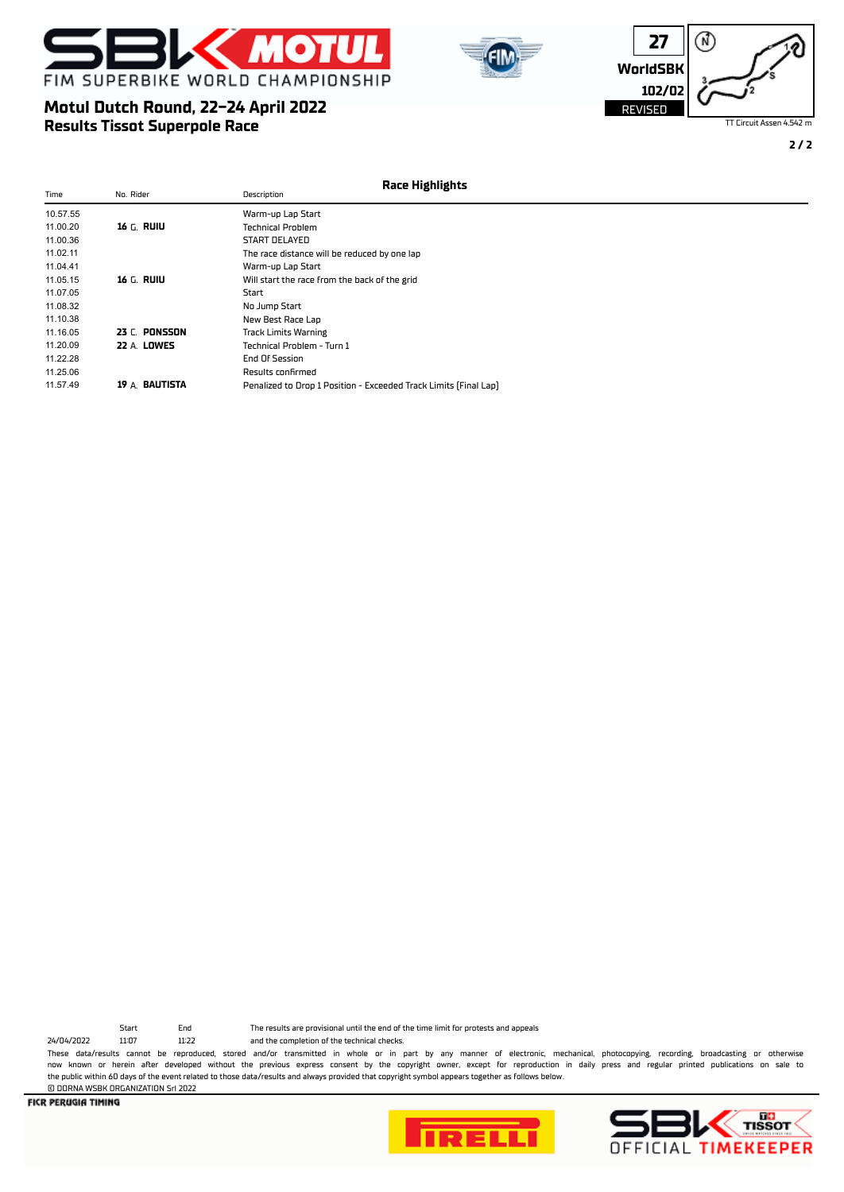







TT Circuit Assen 4.542 m

**2 / 2**

| Time     | No. Rider          | Race Highlights<br>Description                                   |  |
|----------|--------------------|------------------------------------------------------------------|--|
| 10.57.55 |                    | Warm-up Lap Start                                                |  |
| 11.00.20 | 16 G. RUIU         | <b>Technical Problem</b>                                         |  |
| 11.00.36 |                    | START DELAYED                                                    |  |
| 11.02.11 |                    | The race distance will be reduced by one lap                     |  |
| 11.04.41 |                    | Warm-up Lap Start                                                |  |
| 11.05.15 | 16 G. RUIU         | Will start the race from the back of the grid                    |  |
| 11.07.05 |                    | Start                                                            |  |
| 11.08.32 |                    | No Jump Start                                                    |  |
| 11.10.38 |                    | New Best Race Lap                                                |  |
| 11.16.05 | 23 C. PONSSON      | <b>Track Limits Warning</b>                                      |  |
| 11.20.09 | <b>22 A. LOWES</b> | Technical Problem - Turn 1                                       |  |
| 11.22.28 |                    | End Of Session                                                   |  |
| 11.25.06 |                    | Results confirmed                                                |  |
| 11.57.49 | 19 A. BAUTISTA     | Penalized to Drop 1 Position - Exceeded Track Limits (Final Lap) |  |

24/04/2022 11:07 11:22 and the completion of the technical checks.

© DORNA WSBK ORGANIZATION Srl 2022

Start End The results are provisional until the end of the time limit for protests and appeals

These data/results cannot be reproduced, stored and/or transmitted in whole or in part by any manner of electronic, mechanical, photocopying, recording, broadcasting or otherwise now known or herein afer developed without the previous express consent by the copyright owner, except for reproduction in daily press and regular printed publications on sale to the public within 60 days of the event related to those data/results and always provided that copyright symbol appears together as follows below.



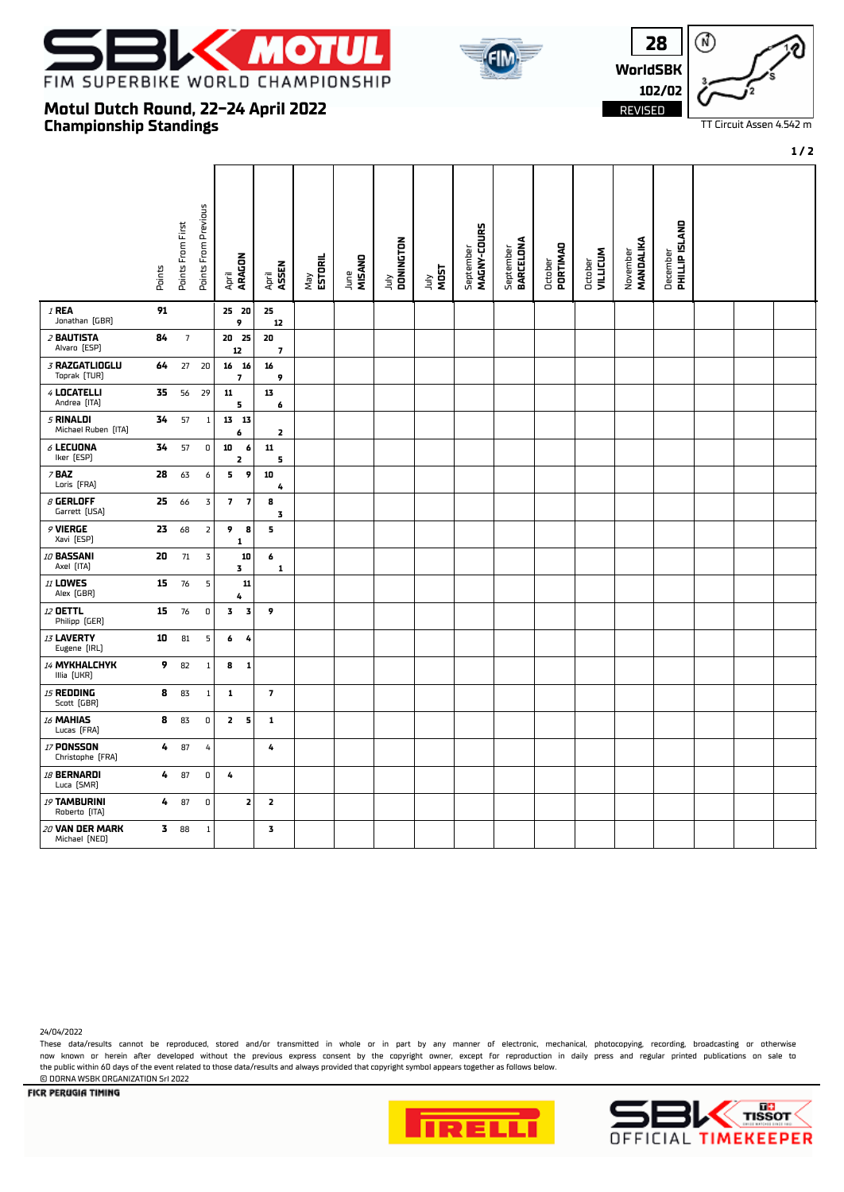

**Motul Dutch Round, 22-24 April 2022**

**Championship Standings**





TT Circuit Assen 4.542 m

#### **1 / 2**

|                                       | Points | Points From First | Points From Previous    | ARAGON<br>April                                    | April<br>ASSEN                | May<br><b>ESTORIL</b> | MISAND<br>June | July<br>DONINGTON | <b>MOST</b><br><b>Anr</b> | September<br><b>MAGNY-COURS</b> | September<br>BARCELONA | October<br>PORTIMAD | October<br>VILLICUM | MANDALIKA<br>November | December<br><b>PHILLIP ISLAND</b> |  |  |
|---------------------------------------|--------|-------------------|-------------------------|----------------------------------------------------|-------------------------------|-----------------------|----------------|-------------------|---------------------------|---------------------------------|------------------------|---------------------|---------------------|-----------------------|-----------------------------------|--|--|
| $I$ REA<br>Jonathan (GBR)             | 91     |                   |                         | 25 20<br>9                                         | 25<br>12                      |                       |                |                   |                           |                                 |                        |                     |                     |                       |                                   |  |  |
| 2 BAUTISTA<br>Alvaro [ESP]            | 84     | $\overline{7}$    |                         | 20 25<br>12                                        | 20<br>$\overline{\mathbf{z}}$ |                       |                |                   |                           |                                 |                        |                     |                     |                       |                                   |  |  |
| 3 RAZGATLIOGLU<br>Toprak [TUR]        | 64     | 27                | 20                      | 16 16<br>$\overline{\mathbf{z}}$                   | 16<br>9                       |                       |                |                   |                           |                                 |                        |                     |                     |                       |                                   |  |  |
| 4 LOCATELLI<br>Andrea [ITA]           | 35     | 56                | 29                      | ${\bf 11}$<br>5                                    | 13<br>6                       |                       |                |                   |                           |                                 |                        |                     |                     |                       |                                   |  |  |
| 5 RINALDI<br>Michael Ruben [ITA]      | 34     | 57                | $\mathbf{1}$            | 13<br>13<br>6                                      | $\overline{\mathbf{z}}$       |                       |                |                   |                           |                                 |                        |                     |                     |                       |                                   |  |  |
| $6$ LECUONA<br>Iker [ESP]             | 34     | 57                | 0                       | 10<br>6<br>$\overline{\mathbf{z}}$                 | ${\bf 11}$<br>5               |                       |                |                   |                           |                                 |                        |                     |                     |                       |                                   |  |  |
| $7$ BAZ<br>Loris [FRA]                | 28     | 63                | 6                       | 9<br>5                                             | 10<br>4                       |                       |                |                   |                           |                                 |                        |                     |                     |                       |                                   |  |  |
| $\beta$ GERLOFF<br>Garrett [USA]      | 25     | 66                | 3                       | $\overline{\mathbf{z}}$<br>$\overline{\mathbf{z}}$ | 8<br>3                        |                       |                |                   |                           |                                 |                        |                     |                     |                       |                                   |  |  |
| 9 VIERGE<br>Xavi [ESP]                | 23     | 68                | $\overline{\mathbf{2}}$ | 9<br>8<br>1                                        | 5.                            |                       |                |                   |                           |                                 |                        |                     |                     |                       |                                   |  |  |
| 10 BASSANI<br>Axel [ITA]              | 20     | 71                | $\overline{3}$          | 10<br>3                                            | 6<br>1                        |                       |                |                   |                           |                                 |                        |                     |                     |                       |                                   |  |  |
| <b>11 LOWES</b><br>Alex (GBR)         | 15     | 76                | 5                       | $11\,$<br>4                                        |                               |                       |                |                   |                           |                                 |                        |                     |                     |                       |                                   |  |  |
| 12 OETTL<br>Philipp [GER]             | 15     | $76\,$            | $\mathsf D$             | 3<br>$\overline{\mathbf{3}}$                       | 9                             |                       |                |                   |                           |                                 |                        |                     |                     |                       |                                   |  |  |
| 13 LAVERTY<br>Eugene [IRL]            | 10     | 81                | 5                       | 6<br>4                                             |                               |                       |                |                   |                           |                                 |                        |                     |                     |                       |                                   |  |  |
| 14 MYKHALCHYK<br>Illia [UKR]          | 9      | 82                | 1                       | 8<br>$\mathbf{1}$                                  |                               |                       |                |                   |                           |                                 |                        |                     |                     |                       |                                   |  |  |
| 15 REDDING<br>Scott (GBR)             | 8      | 83                | 1                       | 1                                                  | $\overline{\phantom{a}}$      |                       |                |                   |                           |                                 |                        |                     |                     |                       |                                   |  |  |
| 16 MAHIAS<br>Lucas [FRA]              | 8      | 83                | 0                       | $\mathbf{z}$<br>5                                  | 1                             |                       |                |                   |                           |                                 |                        |                     |                     |                       |                                   |  |  |
| <b>17 PONSSON</b><br>Christophe [FRA] | 4      | 87                | 4                       |                                                    | 4                             |                       |                |                   |                           |                                 |                        |                     |                     |                       |                                   |  |  |
| 18 BERNARDI<br>Luca [SMR]             | 4      | 87                | $\mathsf D$             | 4                                                  |                               |                       |                |                   |                           |                                 |                        |                     |                     |                       |                                   |  |  |
| 19 TAMBURINI<br>Roberto [ITA]         | 4      | 87                | 0                       | $\overline{\mathbf{z}}$                            | 2                             |                       |                |                   |                           |                                 |                        |                     |                     |                       |                                   |  |  |
| 20 VAN DER MARK<br>Michael [NED]      | 3.     | 88                | $\mathbf{1}$            |                                                    | 3                             |                       |                |                   |                           |                                 |                        |                     |                     |                       |                                   |  |  |

## 24/04/2022

These data/results cannot be reproduced, stored and/or transmitted in whole or in part by any manner of electronic, mechanical, photocopying, recording, broadcasting or otherwise now known or herein afer developed without the previous express consent by the copyright owner, except for reproduction in daily press and regular printed publications on sale to the public within 60 days of the event related to those data/results and always provided that copyright symbol appears together as follows below.



© DORNA WSBK ORGANIZATION Srl 2022

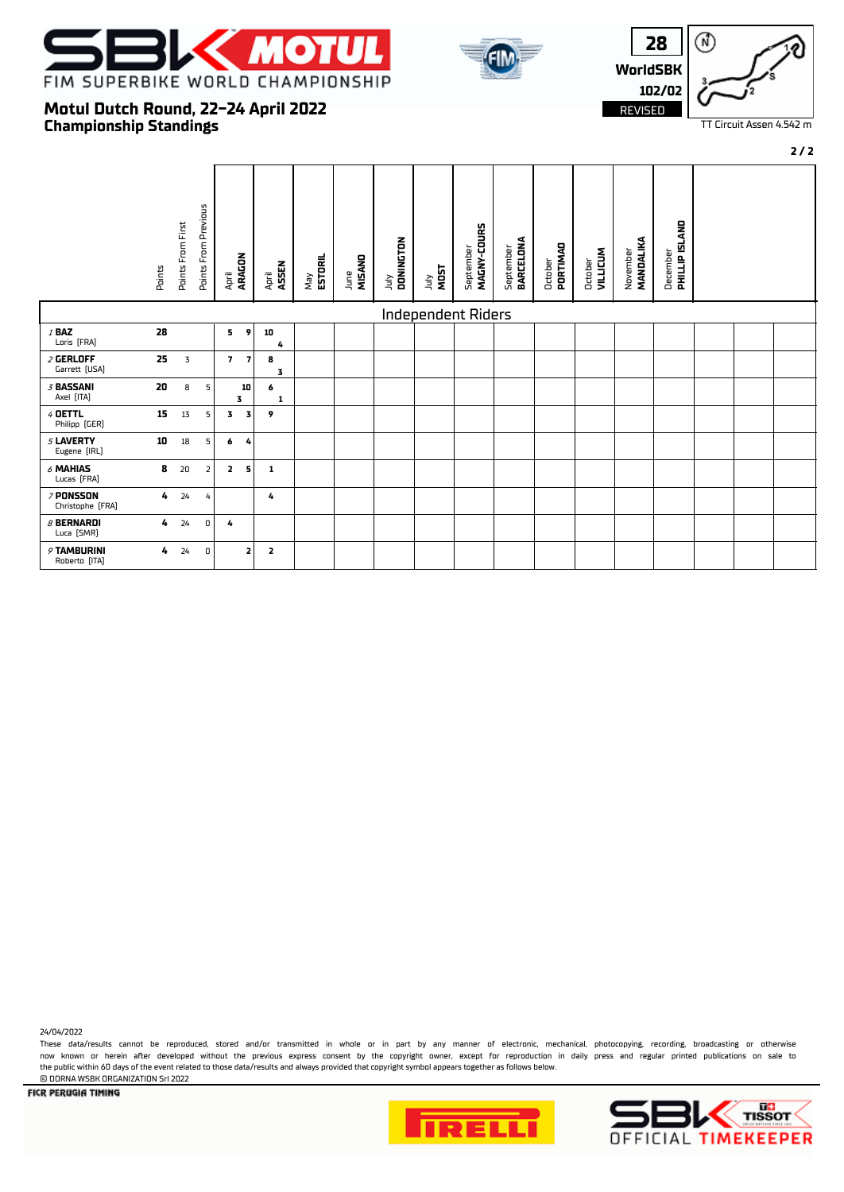

**Motul Dutch Round, 22-24 April 2022**

**Championship Standings**





TT Circuit Assen 4.542 m

#### **2 / 2**

#### Points From Previous Points From Previous December<br>**PHILLIP ISLAND** Points From First September<br>**MAGNY-COURS**  Points From First  **PHILLIP ISLAND MAGNY-COURS** July  **DONINGTON** September  **BARCELONA** November  **MANDALIKA** October  **PORTIMAO** October  **VILLICUM** April  **ARAGON** May  **ESTORIL** June  **MISANO** Points April  **ASSEN** July **MOST** Independent Riders <sup>1</sup> **BAZ 28 5 9 10** Loris [FRA] <sup>2</sup> **GERLOFF 25** 3 **7 7 8** Garrett (USA) **3** <sup>3</sup> **BASSANI 20** 8 5 **10 6** Axel (ITA) **1 1 1 1 1 1 1 1 1 3** <sup>4</sup> **OETTL 15** 13 5 **3 3 9** Philipp (GER) <sup>5</sup> **LAVERTY 10** 18 5 **6 4** Eugene (IRL) <sup>6</sup> **MAHIAS 8** 20 2 **2 5 1** Lucas (FRA) <sup>7</sup> **PONSSON 4** 24 4 **4** Christophe (FRA) <sup>8</sup> **BERNARDI 4** 24 0 **4** Luca (SMR) <sup>9</sup> **TAMBURINI 4** 24 0 **2 2** Roberto (ITA)

24/04/2022

These data/results cannot be reproduced, stored and/or transmitted in whole or in part by any manner of electronic, mechanical, photocopying, recording, broadcasting or otherwise now known or herein afer developed without the previous express consent by the copyright owner, except for reproduction in daily press and regular printed publications on sale to the public within 60 days of the event related to those data/results and always provided that copyright symbol appears together as follows below. © DORNA WSBK ORGANIZATION Srl 2022



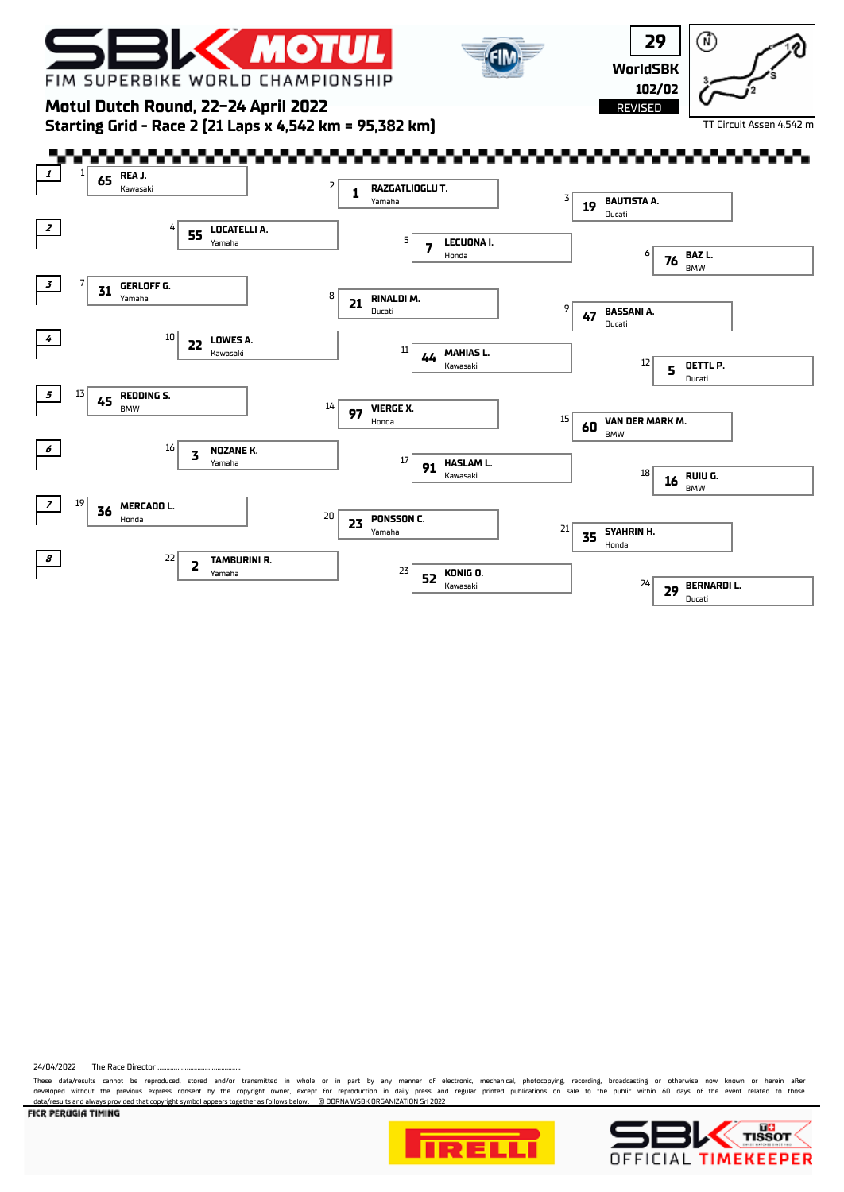

24/04/2022 The Race Director

These data/results cannot be reproduced, stored and/or transmitted in whole or in part by any manner of electronic, mechanical, photocopying, recording, broadcasting or otherwise now known or herein after<br>developed without data/results and always provided that copyright symbol appears together as follows below. © DORNA WSBK ORGANIZATION Srl 2022



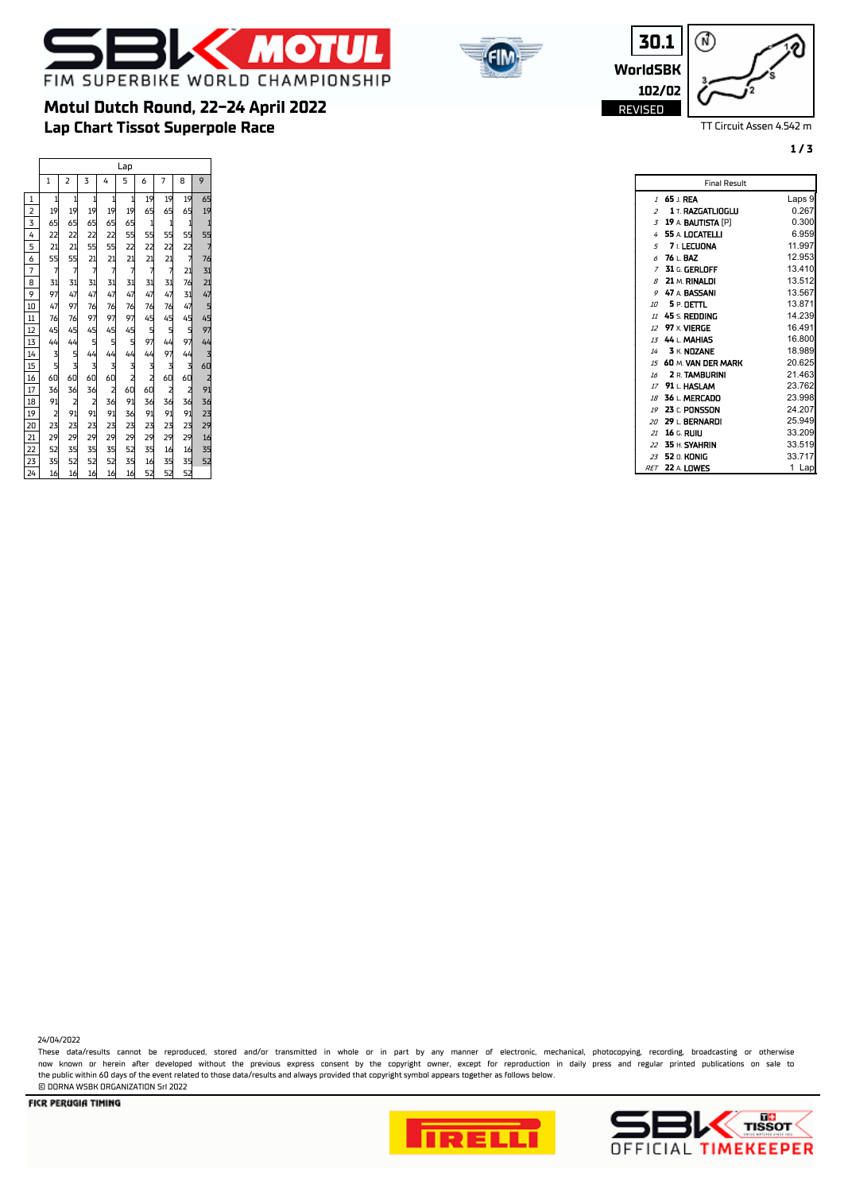





TT Circuit Assen 4.542 m

**1 / 3**

|                 | Lap             |                                        |                                        |                                          |                 |                                        |                |                                        |                                        |
|-----------------|-----------------|----------------------------------------|----------------------------------------|------------------------------------------|-----------------|----------------------------------------|----------------|----------------------------------------|----------------------------------------|
|                 | $\mathbf{1}$    | 2                                      | 3                                      | 4                                        | 5               | 6                                      | 7              | 8                                      | 9                                      |
| 1               | $\mathbf{1}$    | $\mathbf{1}$                           | $\mathbf{1}$                           | $\mathbf{1}$                             | $\mathbf{1}$    | 19                                     | 19             | 19                                     | 65                                     |
| $\overline{2}$  | 19 <sup>1</sup> | 19                                     | 19                                     | 19                                       | 19              | 65                                     | 65             | 65                                     | 19                                     |
| 3               | 65              | 65                                     | 65                                     | 65                                       | 65              |                                        |                | $\mathbf{1}$                           |                                        |
| 4               | 22              | 22                                     | 22                                     | 22                                       | 55              | $\begin{array}{c} 1 \\ 55 \end{array}$ | 1<br>55        | 55                                     | $\frac{1}{7}$ 55<br>76                 |
| 5               | $\overline{21}$ | $\overline{21}$                        | 55                                     | 55                                       | $\overline{2}$  | 22<br>21                               | 22<br>21       | $\overline{2}$                         |                                        |
| 6               | 55              | 55                                     | 21                                     | $\begin{array}{c}\n21 \\ 7\n\end{array}$ | $\overline{21}$ |                                        |                | $\overline{7}$                         |                                        |
| 7               | $\overline{z}$  | $\overline{7}$                         | $\overline{7}$                         |                                          | $\overline{7}$  | $\overline{7}$                         | $\overline{7}$ | $\overline{21}$                        | $\frac{31}{21}$                        |
| 8               | 31              | 31                                     | 31                                     | 31                                       | 31              | 31                                     | 31             | 76                                     |                                        |
| 9               | 97              | 47                                     | 47                                     | 47                                       | 47              | 47                                     | 47             | 31                                     | 47                                     |
| 10              | 47              | 97                                     | 76                                     | 76                                       | 76              | 76                                     | 76             | 47                                     |                                        |
| 11              | 76              | 76                                     | 97                                     | 97                                       | 97              | 45                                     | 45             | 45                                     | 5<br>45                                |
| 12              | 45<br>44        | 45                                     | 45                                     | 45                                       | 45              | 5<br>97                                | 5<br>44        | 5<br>97                                | 97<br>44                               |
| 13              |                 | 44                                     | 5<br>44                                | $\frac{5}{44}$                           | $\frac{5}{44}$  |                                        |                |                                        |                                        |
| 14              |                 |                                        |                                        |                                          |                 | 44                                     | 97             | 44                                     | 3<br>60                                |
| 15              | 3<br>5<br>60    | 5<br>3<br>60                           | 3<br>60                                | $\frac{1}{60}$                           | 3<br>2<br>60    | 3<br>2<br>60                           | 3<br>60        | 3<br>60                                |                                        |
| 16              |                 |                                        |                                        |                                          |                 |                                        |                |                                        |                                        |
| 17              | 36              | 36                                     | 36                                     |                                          |                 |                                        |                |                                        | $\begin{array}{c} 2 \\ 91 \end{array}$ |
| 18              | 91              |                                        |                                        | $\begin{array}{c} 2 \\ 36 \end{array}$   | 91              | 36                                     | $\frac{2}{36}$ | $\begin{array}{c} 2 \\ 36 \end{array}$ | 36                                     |
| 19              |                 | $\begin{array}{c} 2 \\ 91 \end{array}$ | $\begin{array}{c} 2 \\ 91 \end{array}$ | 91                                       | 36              | 91                                     | 91             | 91                                     | 23                                     |
| 20              | $\frac{2}{23}$  | 23                                     | 23                                     | 23                                       | 23              | 23                                     | 23             | 23                                     | 29                                     |
| 21              | 29              | 29                                     | 29                                     | 29                                       | 29              | 29                                     | 29             | 29                                     | 16                                     |
| 22              | 52              | 35                                     | 35                                     | 35                                       | 52              | 35                                     | 16             | 16                                     | 35                                     |
| 23              | 35              | 52                                     | 52                                     | 52                                       | 35              | 16                                     | 35             | 35                                     | 52                                     |
| $\overline{24}$ | 16              | 16                                     | 16                                     | 16                                       | 16              | 52                                     | 52             | 52                                     |                                        |

**Lap Chart Tissot Superpole Race**

**Motul Dutch Round, 22-24 April 2022**

| <b>Final Result</b> |                       |           |  |  |  |  |  |
|---------------------|-----------------------|-----------|--|--|--|--|--|
|                     | $1.65 \perp$ REA      | Laps 9    |  |  |  |  |  |
| $\overline{z}$      | 1 T. RAZGATLIOGLU     | 0.267     |  |  |  |  |  |
|                     | 3 19 A. BAUTISTA [P]  | 0.300     |  |  |  |  |  |
|                     | 4 55 A LOCATELLI      | 6.959     |  |  |  |  |  |
|                     | $5$ 7 LECUONA         | 11.997    |  |  |  |  |  |
|                     | $6$ 76 $\pm$ BAZ      | 12.953    |  |  |  |  |  |
|                     | $7-31$ G. GERLOFF     | 13.410    |  |  |  |  |  |
| <sub>B</sub>        | 21 M. RINALDI         | 13.512    |  |  |  |  |  |
|                     | 9 47 A BASSANI        | 13.567    |  |  |  |  |  |
|                     | 10 5 P. OETTL         | 13.871    |  |  |  |  |  |
|                     | $\mu$ 45 s. Redding   | 14.239    |  |  |  |  |  |
|                     | 12 97 x VIERGE        | 16.491    |  |  |  |  |  |
|                     | 13 44 L. MAHIAS       | 16.800    |  |  |  |  |  |
| 14                  | 3 K. NOZANE           | 18.989    |  |  |  |  |  |
| 15                  | 60 M. VAN DER MARK    | 20.625    |  |  |  |  |  |
| 16                  | <b>2 R. TAMBURINI</b> | 21.463    |  |  |  |  |  |
|                     | 17 91 L. HASLAM       | 23.762    |  |  |  |  |  |
| 18                  | 36 L. MERCADO         | 23.998    |  |  |  |  |  |
|                     | 19 23 r. PONSSON      | 24.207    |  |  |  |  |  |
| $20^{\circ}$        | 29 L. BERNARDI        | 25.949    |  |  |  |  |  |
|                     | 21 <b>16 G. RUIU</b>  | 33.209    |  |  |  |  |  |
|                     | $22$ 35 H. SYAHRIN    | 33.519    |  |  |  |  |  |
|                     | 23 52 n. KONIG        | 33.717    |  |  |  |  |  |
|                     | <i>RFT</i> 22 A LOWES | Lapl<br>1 |  |  |  |  |  |

24/04/2022

These data/results cannot be reproduced, stored and/or transmitted in whole or in part by any manner of electronic, mechanical, photocopying, recording, broadcasting or otherwise now known or herein afer developed without the previous express consent by the copyright owner, except for reproduction in daily press and regular printed publications on sale to the public within 60 days of the event related to those data/results and always provided that copyright symbol appears together as follows below. © DORNA WSBK ORGANIZATION Srl 2022



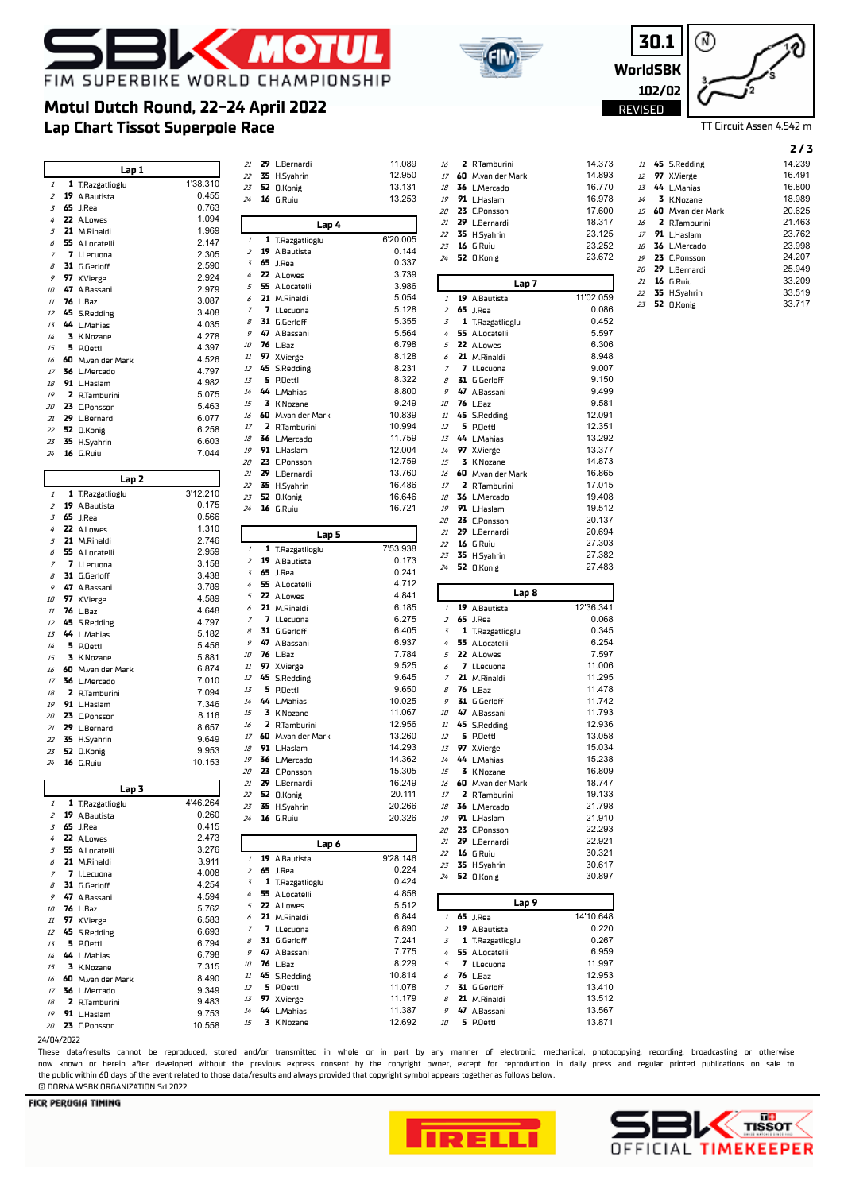

 $\overline{\phantom{a}}$ 



**2** R.Tamburini 14.373



TT Circuit Assen 4.542 m

### **2 / 3**

| 11              | 45 S.Redding         | 14.239 |
|-----------------|----------------------|--------|
|                 | 12 97 X.Vierge       | 16.491 |
| $1\overline{5}$ | 44 L.Mahias          | 16.800 |
| 14              | 3 K.Nozane           | 18.989 |
|                 | 15 60 M.van der Mark | 20.625 |
|                 | 16 2 R.Tamburini     | 21.463 |
|                 | 17 91 L.Haslam       | 23.762 |
|                 | $18$ 36 L.Mercado    | 23.998 |
| 19              | 23 C.Ponsson         | 24.207 |
| 20              | <b>29</b> L.Bernardi | 25.949 |
| 21              | $16$ G.Ruiu          | 33.209 |
| 22              | 35 H.Syahrin         | 33.519 |
|                 |                      |        |

**52** O.Konig 33.717

## **Lap Chart Tissot Superpole Race Motul Dutch Round, 22-24 April 2022**

 $\Gamma$ 

|                                                                                                                                                                                                                               | Lap 1                       |                 | 21               | 29 L.Bernardi               |  |
|-------------------------------------------------------------------------------------------------------------------------------------------------------------------------------------------------------------------------------|-----------------------------|-----------------|------------------|-----------------------------|--|
|                                                                                                                                                                                                                               |                             |                 | 22               | 35 H.Syahrin                |  |
| $\it 1$                                                                                                                                                                                                                       | 1 T.Razgatlioglu            | 1'38.310        | 23               | 52 O.Konig                  |  |
| $\overline{z}$                                                                                                                                                                                                                | 19 A.Bautista               | 0.455           | 24               | 16 G.Ruiu                   |  |
| 3                                                                                                                                                                                                                             | <b>65</b> J.Rea             | 0.763           |                  |                             |  |
| 4                                                                                                                                                                                                                             | 22 A.Lowes                  | 1.094           |                  | Lap 4                       |  |
| 5                                                                                                                                                                                                                             | 21 M.Rinaldi                | 1.969           |                  |                             |  |
| 6                                                                                                                                                                                                                             | 55 A.Locatelli              | 2.147           | $\cal{I}$        | 1 T.Razgatlioglu            |  |
| $\overline{z}$                                                                                                                                                                                                                | 7 I.Lecuona                 | 2.305           | $\overline{z}$   | 19 A.Bautista               |  |
| 8                                                                                                                                                                                                                             | 31 G.Gerloff                | 2.590           | $\overline{3}$   | <b>65</b> J.Rea             |  |
| 9                                                                                                                                                                                                                             | 97 X.Vierge                 | 2.924           | 4                | 22 A.Lowes                  |  |
| 10                                                                                                                                                                                                                            | 47 A.Bassani                | 2.979           |                  | 5 55 A.Locatelli            |  |
| 11                                                                                                                                                                                                                            | 76 L.Baz                    | 3.087           | 6                | 21 M.Rinaldi                |  |
| 12                                                                                                                                                                                                                            |                             |                 | $\boldsymbol{7}$ | 7 I.Lecuona                 |  |
|                                                                                                                                                                                                                               | 45 S.Redding                | 3.408           | 8                | 31 G.Gerloff                |  |
| 13                                                                                                                                                                                                                            | 44 L.Mahias                 | 4.035           | 9                | 47 A.Bassani                |  |
| 14                                                                                                                                                                                                                            | 3 K.Nozane                  | 4.278           | 10               | <b>76</b> L.Baz             |  |
| 15                                                                                                                                                                                                                            | 5 P.Oettl                   | 4.397           |                  |                             |  |
| 16                                                                                                                                                                                                                            | 60 M.van der Mark           | 4.526           | 11               | 97 X.Vierge                 |  |
| 17                                                                                                                                                                                                                            | 36 L.Mercado                | 4.797           | 12               | 45 S.Redding                |  |
| 18                                                                                                                                                                                                                            | 91 L.Haslam                 | 4.982           | 13               | 5 P.Oettl                   |  |
| 19                                                                                                                                                                                                                            | 2 R.Tamburini               | 5.075           | 14               | 44 L.Mahias                 |  |
| 20                                                                                                                                                                                                                            | 23 C.Ponsson                | 5.463           | $\it 15$         | 3 K.Nozane                  |  |
| 21                                                                                                                                                                                                                            | 29 L.Bernardi               | 6.077           | 16               | 60 M.van der Mark           |  |
| 22                                                                                                                                                                                                                            | 52 O.Konig                  | 6.258           | 17               | 2 R.Tamburini               |  |
| 23                                                                                                                                                                                                                            | 35 H.Syahrin                | 6.603           |                  | 18 36 L.Mercado             |  |
| 24                                                                                                                                                                                                                            | <b>16</b> G.Ruiu            | 7.044           | 19               | 91 L.Haslam                 |  |
|                                                                                                                                                                                                                               |                             |                 | 20               | 23 C.Ponsson                |  |
|                                                                                                                                                                                                                               |                             |                 | 21               | 29 L.Bernardi               |  |
|                                                                                                                                                                                                                               | Lap 2                       |                 | 22               | 35 H.Syahrin                |  |
| 1                                                                                                                                                                                                                             | 1 T.Razgatlioglu            | 3'12.210        | 23               | 52 O.Konig                  |  |
| $\boldsymbol{z}$                                                                                                                                                                                                              | 19 A.Bautista               | 0.175           | 24               | 16 G.Ruiu                   |  |
| 3                                                                                                                                                                                                                             | <b>65</b> J.Rea             | 0.566           |                  |                             |  |
| 4                                                                                                                                                                                                                             | 22 A.Lowes                  | 1.310           |                  |                             |  |
| 5                                                                                                                                                                                                                             | 21 M.Rinaldi                | 2.746           |                  | Lap 5                       |  |
| 6                                                                                                                                                                                                                             | 55 A.Locatelli              | 2.959           | $\mathcal{I}$    | 1 T.Razgatlioglu            |  |
| 7                                                                                                                                                                                                                             | 7 I.Lecuona                 | 3.158           | $\overline{z}$   | 19 A.Bautista               |  |
| 8                                                                                                                                                                                                                             | 31 G.Gerloff                | 3.438           | 3                | <b>65</b> J.Rea             |  |
| 9                                                                                                                                                                                                                             | 47 A.Bassani                | 3.789           | $\overline{4}$   | 55 A.Locatelli              |  |
| 10                                                                                                                                                                                                                            | 97 X.Vierge                 | 4.589           | 5                | 22 A.Lowes                  |  |
| 11                                                                                                                                                                                                                            | <b>76</b> L.Baz             | 4.648           | 6                | 21 M.Rinaldi                |  |
|                                                                                                                                                                                                                               | 45 S.Redding                | 4.797           | 7                | 7 I.Lecuona                 |  |
|                                                                                                                                                                                                                               |                             |                 |                  | 31 G.Gerloff                |  |
|                                                                                                                                                                                                                               |                             |                 | 8                |                             |  |
|                                                                                                                                                                                                                               | 44 L.Mahias                 | 5.182           | 9                | 47 A.Bassani                |  |
|                                                                                                                                                                                                                               | 5 P.Oettl                   | 5.456           |                  |                             |  |
|                                                                                                                                                                                                                               | 3 K.Nozane                  | 5.881           | 10               | <b>76</b> L.Baz             |  |
|                                                                                                                                                                                                                               | 60 M.van der Mark           | 6.874           | 11               | 97 X.Vierge                 |  |
|                                                                                                                                                                                                                               | 36 L.Mercado                | 7.010           | 12               | 45 S.Redding                |  |
|                                                                                                                                                                                                                               | 2 R.Tamburini               | 7.094           | 13               | 5 P.Oettl                   |  |
|                                                                                                                                                                                                                               | 91 L.Haslam                 | 7.346           | 14               | 44 L.Mahias                 |  |
|                                                                                                                                                                                                                               | 23 C.Ponsson                | 8.116           | 15               | 3 K.Nozane                  |  |
|                                                                                                                                                                                                                               | 29 L.Bernardi               | 8.657           | 16               | 2 R.Tamburini               |  |
|                                                                                                                                                                                                                               | 35 H.Syahrin                | 9.649           |                  | 17 60 M.van der Mark        |  |
|                                                                                                                                                                                                                               | 52 O.Konig                  | 9.953           | 18               | 91 L.Haslam                 |  |
|                                                                                                                                                                                                                               |                             | 10.153          | 19               | 36 L.Mercado                |  |
|                                                                                                                                                                                                                               | <b>16</b> G.Ruiu            |                 | 20               | 23 C.Ponsson                |  |
|                                                                                                                                                                                                                               |                             |                 | 21               | 29 L.Bernardi               |  |
|                                                                                                                                                                                                                               | Lap 3                       |                 | 22               | 52 O.Konig                  |  |
|                                                                                                                                                                                                                               | 1 T.Razgatlioglu            | 4'46.264        |                  |                             |  |
|                                                                                                                                                                                                                               | 19 A.Bautista               | 0.260           | 24               | 23 35 H.Syahrin             |  |
|                                                                                                                                                                                                                               | <b>65</b> J.Rea             | 0.415           |                  | 16 G.Ruiu                   |  |
|                                                                                                                                                                                                                               | 22 A.Lowes                  | 2.473           |                  |                             |  |
|                                                                                                                                                                                                                               | 55 A.Locatelli              | 3.276           |                  | Lap 6                       |  |
|                                                                                                                                                                                                                               | 21 M.Rinaldi                | 3.911           | $\mathcal{I}$    | 19 A.Bautista               |  |
|                                                                                                                                                                                                                               | 7 I.Lecuona                 | 4.008           | 2                | <b>65</b> J.Rea             |  |
|                                                                                                                                                                                                                               | 31 G.Gerloff                | 4.254           | $\overline{3}$   | 1 T.Razgatlioglu            |  |
|                                                                                                                                                                                                                               |                             | 4.594           | 4 <sup>1</sup>   | 55 A.Locatelli              |  |
|                                                                                                                                                                                                                               | 47 A.Bassani                |                 |                  | 5 22 A.Lowes                |  |
|                                                                                                                                                                                                                               | 76 L.Baz                    | 5.762           | 6                |                             |  |
|                                                                                                                                                                                                                               | 97 X.Vierge                 | 6.583           | $\overline{z}$   | 21 M.Rinaldi<br>7 I.Lecuona |  |
|                                                                                                                                                                                                                               | 45 S.Redding                | 6.693           | 8                | 31 G.Gerloff                |  |
|                                                                                                                                                                                                                               | 5 P.Oettl                   | 6.794           |                  | 9 47 A.Bassani              |  |
|                                                                                                                                                                                                                               | 44 L.Mahias                 | 6.798           |                  |                             |  |
|                                                                                                                                                                                                                               | 3 K.Nozane                  | 7.315           | 10               | <b>76</b> L.Baz             |  |
|                                                                                                                                                                                                                               | 60 M.van der Mark           | 8.490           |                  | 11 45 S.Redding             |  |
|                                                                                                                                                                                                                               | 36 L.Mercado                | 9.349           | 12               | 5 P.Oettl                   |  |
|                                                                                                                                                                                                                               | 2 R.Tamburini               | 9.483           | 13               | 97 X.Vierge                 |  |
| 12<br>13<br>$14\,$<br>15<br>16<br>17<br>18<br>19<br>20<br>21<br>22<br>23<br>24<br>$\cal I$<br>$\overline{z}$<br>3<br>4<br>5<br>6<br>7<br>8<br>9<br>10<br>11<br>12<br>13<br>$14\,$<br>$15\,$<br>16<br>$17\,$<br>18<br>19<br>20 | 91 L.Haslam<br>23 C.Ponsson | 9.753<br>10.558 | 14<br>15         | 44 L.Mahias<br>3 K.Nozane   |  |

| 22             | 35 H.Syahrin              | 12.950           | 17             | 60 M.van der Mark         | 14.893           |
|----------------|---------------------------|------------------|----------------|---------------------------|------------------|
| 23             | 52 O.Konig                | 13.131           | 18             | 36 L.Mercado              | 16.770           |
| 24             | <b>16</b> G.Ruiu          | 13.253           | 19             | 91 L.Haslam               | 16.978           |
|                |                           |                  | 20             | 23 C.Ponsson              | 17.600           |
|                |                           |                  | 21             | 29 L.Bernardi             | 18.317           |
|                | Lap 4                     |                  |                |                           |                  |
| 1              | 1 T.Razgatlioglu          | 6'20.005         | 22             | 35 H.Syahrin              | 23.125           |
| $\overline{z}$ | 19 A.Bautista             | 0.144            | 23             | 16 G.Ruiu                 | 23.252           |
| 3              | <b>65</b> J.Rea           | 0.337            | 24             | 52 O.Konig                | 23.672           |
|                |                           |                  |                |                           |                  |
| 4              | 22 A.Lowes                | 3.739            |                | Lap 7                     |                  |
| 5              | 55 A.Locatelli            | 3.986            |                |                           |                  |
| 6              | 21 M.Rinaldi              | 5.054            | 1              | 19 A.Bautista             | 11'02.059        |
| 7              | 7 I.Lecuona               | 5.128            | 2              | <b>65</b> J.Rea           | 0.086            |
| 8              | 31 G.Gerloff              | 5.355            | 3              | 1 T.Razgatlioglu          | 0.452            |
| 9              | 47 A.Bassani              | 5.564            | 4              | 55 A.Locatelli            | 5.597            |
|                | 76 L.Baz                  |                  | 5              | 22 A.Lowes                | 6.306            |
| 10             |                           | 6.798            |                |                           |                  |
| 11             | 97 X.Vierge               | 8.128            | 6              | 21 M.Rinaldi              | 8.948            |
| 12             | 45 S.Redding              | 8.231            | 7              | 7 I.Lecuona               | 9.007            |
| 13             | 5 P.Oettl                 | 8.322            | 8              | 31 G.Gerloff              | 9.150            |
| 14             | 44 L.Mahias               | 8.800            | 9              | 47 A.Bassani              | 9.499            |
| 15             | 3 K.Nozane                | 9.249            | 10             | <b>76</b> L.Baz           | 9.581            |
| 16             | 60 M.van der Mark         | 10.839           | $I\!I$         |                           | 12.091           |
|                |                           |                  |                | 45 S.Redding              |                  |
| 17             | 2 R.Tamburini             | 10.994           | 12             | 5 P.Oettl                 | 12.351           |
| 18             | 36 L.Mercado              | 11.759           | 13             | 44 L.Mahias               | 13.292           |
| 19             | 91 L.Haslam               | 12.004           | 14             | 97 X.Vierge               | 13.377           |
| 20             | 23 C.Ponsson              | 12.759           | 15             | 3 K.Nozane                | 14.873           |
| 21             | 29 L.Bernardi             | 13.760           | 16             | 60 M.van der Mark         | 16.865           |
| 22             |                           | 16.486           | 17             | 2 R.Tamburini             | 17.015           |
|                | 35 H.Syahrin              |                  |                |                           |                  |
| 23             | 52 O.Konig                | 16.646           | 18             | 36 L.Mercado              | 19.408           |
| 24             | <b>16</b> G.Ruiu          | 16.721           | 19             | 91 L.Haslam               | 19.512           |
|                |                           |                  | 20             | 23 C.Ponsson              | 20.137           |
|                | Lap 5                     |                  | 21             | 29 L.Bernardi             | 20.694           |
|                |                           |                  | 22             | <b>16</b> G.Ruiu          | 27.303           |
| $\mathcal{I}$  | 1 T.Razgatlioglu          | 7'53.938         | 23             | 35 H.Syahrin              | 27.382           |
| $\overline{z}$ | 19 A.Bautista             | 0.173            |                |                           |                  |
| 3              | <b>65</b> J.Rea           | 0.241            | 24             | 52 O.Konig                | 27.483           |
| 4              | 55 A.Locatelli            | 4.712            |                |                           |                  |
| 5              | 22 A.Lowes                | 4.841            |                | Lap 8                     |                  |
| 6              | 21 M.Rinaldi              | 6.185            |                |                           | 12'36.341        |
|                |                           |                  | 1              | 19 A.Bautista             |                  |
| 7              | 7 I.Lecuona               | 6.275            | 2              | <b>65</b> J.Rea           | 0.068            |
| 8              | 31 G.Gerloff              | 6.405            | 3              | 1 T.Razgatlioglu          | 0.345            |
| 9              | 47 A.Bassani              | 6.937            | 4              | 55 A.Locatelli            | 6.254            |
| 10             | <b>76</b> L.Baz           | 7.784            | 5              | 22 A.Lowes                | 7.597            |
| 11             | 97 X.Vierge               | 9.525            | 6              | 7 I.Lecuona               | 11.006           |
| 12             | 45 S.Redding              | 9.645            | 7              | 21 M.Rinaldi              | 11.295           |
|                |                           | 9.650            |                |                           | 11.478           |
| 13             | 5 P.Oettl                 |                  | 8              | <b>76</b> L.Baz           |                  |
| 14             | 44 L.Mahias               | 10.025           | 9              | 31 G.Gerloff              | 11.742           |
| 15             | 3 K.Nozane                | 11.067           | 10             | 47 A.Bassani              | 11.793           |
| 16             | 2 R.Tamburini             | 12.956           | 11             | 45 S.Redding              | 12.936           |
| 17             | 60 M.van der Mark         | 13.260           | 12             | 5 P.Oettl                 | 13.058           |
| 18             | 91 L.Haslam               | 14.293           | 13             | 97 X.Vierge               | 15.034           |
| 19             | 36 L.Mercado              | 14.362           | 14             |                           | 15.238           |
|                |                           |                  |                | 44 L.Mahias               |                  |
| 20             | 23 C.Ponsson              | 15.305           | 15             | 3 K.Nozane                | 16.809           |
| 21             | 29 L.Bernardi             | 16.249           | 16             | 60 M.van der Mark         | 18.747           |
| 22             | 52 O.Konig                | 20.111           | $17\,$         | 2 R.Tamburini             | 19.133           |
|                | 23 35 H.Syahrin           | 20.266           | 18             | 36 L.Mercado              | 21.798           |
| 24             | 16 G.Ruiu                 | 20.326           | 19             | 91 L.Haslam               | 21.910           |
|                |                           |                  | 20             | 23 C.Ponsson              | 22.293           |
|                |                           |                  |                |                           |                  |
|                | Lap 6                     |                  | 21             | 29 L.Bernardi             | 22.921           |
| $\mathcal{I}$  | 19 A.Bautista             | 9'28.146         | 22             | <b>16</b> G.Ruiu          | 30.321           |
| $\overline{z}$ | <b>65</b> J.Rea           | 0.224            | 23             | 35 H.Syahrin              | 30.617           |
|                |                           | 0.424            | 24             | 52 O.Konig                | 30.897           |
| 3              | 1 T.Razgatlioglu          |                  |                |                           |                  |
| 4              | 55 A.Locatelli            | 4.858            |                |                           |                  |
| 5              | 22 A.Lowes                | 5.512            |                | Lap 9                     |                  |
| 6              | 21 M.Rinaldi              | 6.844            | $\mathcal{I}$  | <b>65</b> J.Rea           | 14'10.648        |
| 7              | 7 I.Lecuona               | 6.890            | 2              | 19 A.Bautista             | 0.220            |
| 8              | 31 G.Gerloff              | 7.241            | 3              | 1 T.Razgatlioglu          | 0.267            |
| 9              | 47 A.Bassani              | 7.775            | 4              | 55 A.Locatelli            | 6.959            |
|                |                           |                  |                |                           |                  |
| 10             | <b>76</b> L.Baz           | 8.229            | 5              | 7 I.Lecuona               | 11.997           |
| 11             | 45 S.Redding              | 10.814           | 6              | <b>76</b> L.Baz           | 12.953           |
| 12             | 5 P.Oettl                 | 11.078           | $\overline{z}$ | 31 G.Gerloff              | 13.410           |
|                |                           |                  |                |                           |                  |
| 13             |                           | 11.179           | 8              |                           | 13.512           |
|                | 97 X.Vierge               |                  |                | 21 M.Rinaldi              |                  |
| 14<br>15       | 44 L.Mahias<br>3 K.Nozane | 11.387<br>12.692 | 9<br>10        | 47 A.Bassani<br>5 P.Oettl | 13.567<br>13.871 |

**29** L.Bernardi 11.089

| "<br>20        | ,<br>23 | с.паэкин<br><b>C.Ponsson</b>    | 1 U.U I U<br>17.600 |
|----------------|---------|---------------------------------|---------------------|
| 21             | 29      | L.Bernardi                      | 18.317              |
| 22             | 35      | H.Syahrin                       | 23.125              |
| 23             | 16      | G.Ruiu                          | 23.252              |
| 24             | 52      | 0.Konig                         | 23.672              |
|                |         |                                 |                     |
|                |         | Lap 7                           |                     |
| $\it 1$        | 19      | A.Bautista                      | 11'02.059           |
| 2              | 65<br>1 | J.Rea                           | 0.086               |
| 3<br>4         | 55      | T.Razgatlioglu<br>A.Locatelli   | 0.452<br>5.597      |
| 5              | 22      | A.Lowes                         | 6.306               |
| 6              | 21      | M.Rinaldi                       | 8.948               |
| 7              | 7       | I.Lecuona                       | 9.007               |
| 8              | 31      | G.Gerloff                       | 9.150               |
| 9              | 47      | A.Bassani                       | 9.499               |
| 10             | 76      | L.Baz                           | 9.581               |
| $\it 11$       | 45      | <b>S.Redding</b>                | 12.091              |
| 12             | 5       | P.Oettl                         | 12.351              |
| 13             | 44      | L.Mahias                        | 13.292              |
| 14             | 97      | X.Vierge                        | 13.377              |
| 15             | 3       | K.Nozane                        | 14.873              |
| 16             | 60      | M.van der Mark                  | 16.865              |
| 17<br>18       | 2<br>36 | <b>R.Tamburini</b><br>L.Mercado | 17.015<br>19.408    |
| 19             | 91      | L.Haslam                        | 19.512              |
| 20             | 23      | C.Ponsson                       | 20.137              |
| 21             | 29      | L.Bernardi                      | 20.694              |
| 22             | 16      | G.Ruiu                          | 27.303              |
| 23             | 35      | H.Syahrin                       | 27.382              |
| 24             | 52      | <b>O.Konig</b>                  | 27.483              |
|                |         |                                 |                     |
|                |         | Lap 8                           |                     |
| 1              | 19      | A.Bautista                      | 12'36.341           |
| 2<br>3         | 65<br>1 | J.Rea<br>T.Razgatlioglu         | 0.068<br>0.345      |
| 4              | 55      | A.Locatelli                     | 6.254               |
| 5              | 22      | A.Lowes                         | 7.597               |
| 6              | 7       | I.Lecuona                       | 11.006              |
| 7              | 21      | M.Rinaldi                       | 11.295              |
| 8              | 76      | L.Baz                           | 11.478              |
| 9              | 31      | G.Gerloff                       | 11.742              |
| 10             | 47      | A.Bassani                       | 11.793              |
| 11             | 45      | <b>S.Redding</b>                | 12.936              |
| 12             | 5       | P.Oettl                         | 13.058              |
| 13             | 97      | X.Vierge                        | 15.034              |
| 14<br>15       | 44<br>3 | L.Mahias<br>K.Nozane            | 15.238<br>16.809    |
| 16             | 60      | M.van der Mark                  | 18.747              |
| $17$           | 2       | R.Tamburini                     | 19.133              |
| 18             | 36      | L.Mercado                       | 21.798              |
| 19             | 91      | L.Haslam                        | 21.910              |
| 20             | 23      | <b>C.Ponsson</b>                | 22.293              |
| 21             | 29      | L.Bernardi                      | 22.921              |
| 22             | 16      | G.Ruiu                          | 30.321              |
| 23             | 35      | H.Syahrin                       | 30.617<br>30.897    |
| 24             | 52      | <b>O.Konig</b>                  |                     |
|                |         | Lap 9                           |                     |
| 1              | 65      | J.Rea                           | 14'10.648           |
| $\overline{z}$ | 19      | A.Bautista                      | 0.220               |
| 3              | 1       | T.Razgatlioglu                  | 0.267               |
| 4              | 55      | A.Locatelli                     | 6.959               |
| 5<br>6         | 7<br>76 | I.Lecuona<br>L.Baz              | 11.997<br>12.953    |
| 7              | 31      | G.Gerloff                       | 13.410              |
| 8              |         |                                 |                     |
|                | 21      | M.Rinaldi                       | 13.512              |
| 9              | 47      | A.Bassani                       | 13.567              |
| 10             | 5       | P.Oettl                         | 13.871              |

#### © DORNA WSBK ORGANIZATION Srl 2022**FICR PERUGIA TIMING**

24/04/2022



These data/results cannot be reproduced, stored and/or transmitted in whole or in part by any manner of electronic, mechanical, photocopying, recording, broadcasting or otherwise now known or herein afer developed without the previous express consent by the copyright owner, except for reproduction in daily press and regular printed publications on sale to

the public within 60 days of the event related to those data/results and always provided that copyright symbol appears together as follows below.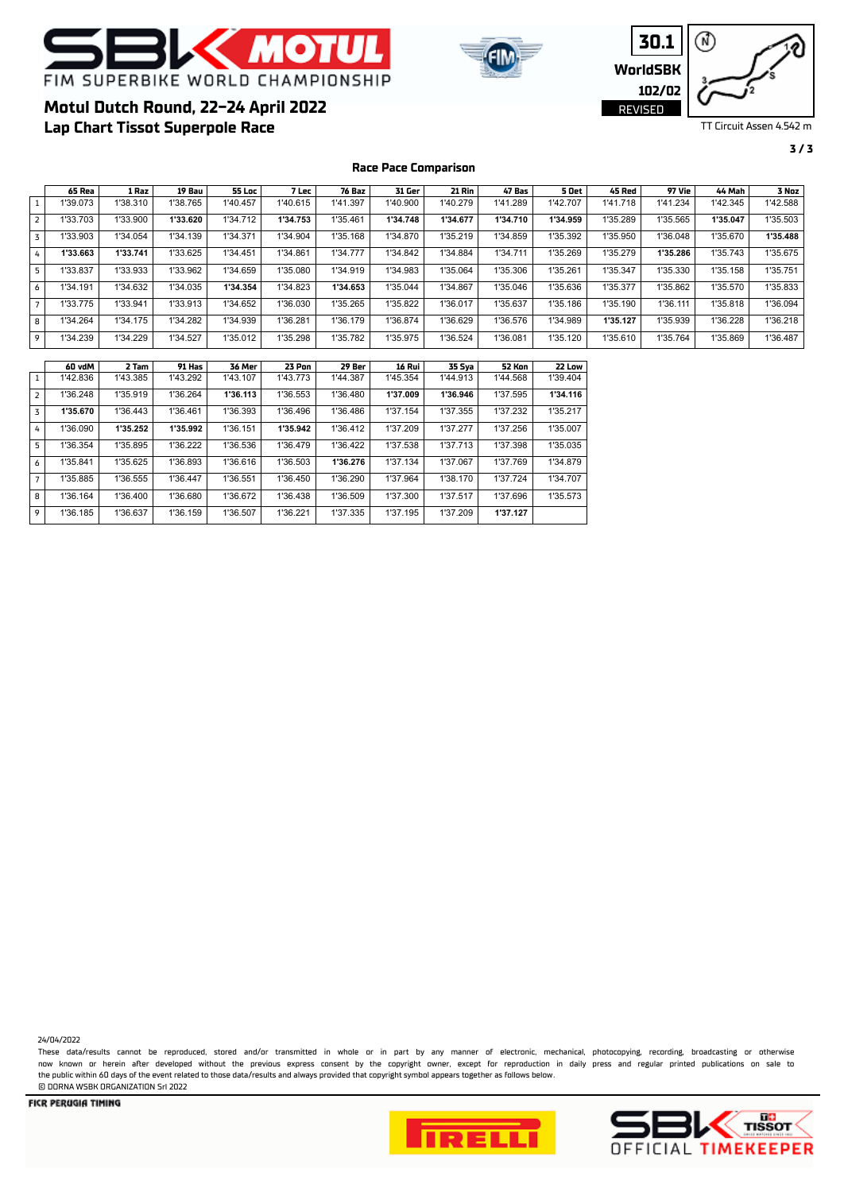

**Lap Chart Tissot Superpole Race**

**Motul Dutch Round, 22-24 April 2022**





TT Circuit Assen 4.542 m

#### **3 / 3**

### **65 Rea 1 Raz 19 Bau 55 Loc 7 Lec 76 Baz 31 Ger 21 Rin 47 Bas 5 Oet 45 Red 97 Vie 44 Mah 3 Noz**  1 | 1'39.073 | 1'38.310 | 1'38.765 | 1'40.457 | 1'40.615 | 1'41.397 | 1'40.900 | 1'40.279 | 1'41.289 | 1'42.707 | 1'41.718 | 1'41.234 | 1'42.345 | 1'42.588 2 1'33.703 1'33.900 **1'33.620** 1'34.712 **1'34.753** 1'35.461 **1'34.748 1'34.677 1'34.710 1'34.959** 1'35.289 1'35.565 **1'35.047** 1'35.503 3 1'33.903 1'34.054 1'34.139 1'34.371 1'34.904 1'35.168 1'34.870 1'35.219 1'34.859 1'35.392 1'35.950 1'36.048 1'35.670 **1'35.488**  4 **1'33.663 1'33.741** 1'33.625 1'34.451 1'34.861 1'34.777 1'34.842 1'34.884 1'34.711 1'35.269 1'35.279 **1'35.286** 1'35.743 1'35.675 5 | 1'33.837 | 1'33.933 | 1'33.962 | 1'34.659 | 1'35.080 | 1'34.919 | 1'34.983 | 1'35.064 | 1'35.306 | 1'35.261 | 1'35.347 | 1'35.330 | 1'35.158 | 1'35.751 6 1'34.191 1'34.632 1'34.035 **1'34.354** 1'34.823 **1'34.653** 1'35.044 1'34.867 1'35.046 1'35.636 1'35.377 1'35.862 1'35.570 1'35.833 7 | 1'33.775 | 1'33.941 | 1'33.913 | 1'34.652 | 1'36.030 | 1'35.265 | 1'35.822 | 1'36.017 | 1'35.637 | 1'35.186 | 1'35.190 | 1'36.111 | 1'35.818 | 1'36.094 8 1'34.264 1'34.175 1'34.282 1'34.939 1'36.281 1'36.179 1'36.874 1'36.629 1'36.576 1'34.989 **1'35.127** 1'35.939 1'36.228 1'36.218 9 | 1'34.239 | 1'34.229 | 1'34.527 | 1'35.012 | 1'35.298 | 1'35.782 | 1'35.975 | 1'36.524 | 1'36.081 | 1'35.120 | 1'35.610 | 1'35.610 | 1'35.869 | 1'36.487 **60 vdM 2 Tam 91 Has 36 Mer 23 Pon 29 Ber 16 Rui 35 Sya 52 Kon 22 Low**  1 1'42.836 1'43.385 1'43.292 1'43.107 1'43.773 1'44.387 1'45.354 1'44.913 1'44.568 1'39.404 2 1'36.248 1'35.919 1'36.264 **1'36.113** 1'36.553 1'36.480 **1'37.009 1'36.946** 1'37.595 **1'34.116**  3 **1'35.670** 1'36.443 1'36.461 1'36.393 1'36.496 1'36.486 1'37.154 1'37.355 1'37.232 1'35.217 4 1'36.090 **1'35.252 1'35.992** 1'36.151 **1'35.942** 1'36.412 1'37.209 1'37.277 1'37.256 1'35.007 5 1'36.354 1'35.895 1'36.222 1'36.536 1'36.479 1'36.422 1'37.538 1'37.713 1'37.398 1'35.035 6 1'35.841 1'35.625 1'36.893 1'36.616 1'36.503 **1'36.276** 1'37.134 1'37.067 1'37.769 1'34.879 7 | 1'35.885 | 1'36.555 | 1'36.447 | 1'36.551 | 1'36.450 | 1'36.290 | 1'37.964 | 1'38.170 | 1'37.724 | 1'34.707 8 1'36.164 1'36.400 1'36.680 1'36.672 1'36.438 1'36.509 1'37.300 1'37.517 1'37.696 1'35.573 9 1'36.185 1'36.637 1'36.159 1'36.507 1'36.221 1'37.335 1'37.195 1'37.209 **1'37.127**

**Race Pace Comparison**

24/04/2022

These data/results cannot be reproduced, stored and/or transmitted in whole or in part by any manner of electronic, mechanical, photocopying, recording, broadcasting or otherwise now known or herein afer developed without the previous express consent by the copyright owner, except for reproduction in daily press and regular printed publications on sale to the public within 60 days of the event related to those data/results and always provided that copyright symbol appears together as follows below. © DORNA WSBK ORGANIZATION Srl 2022



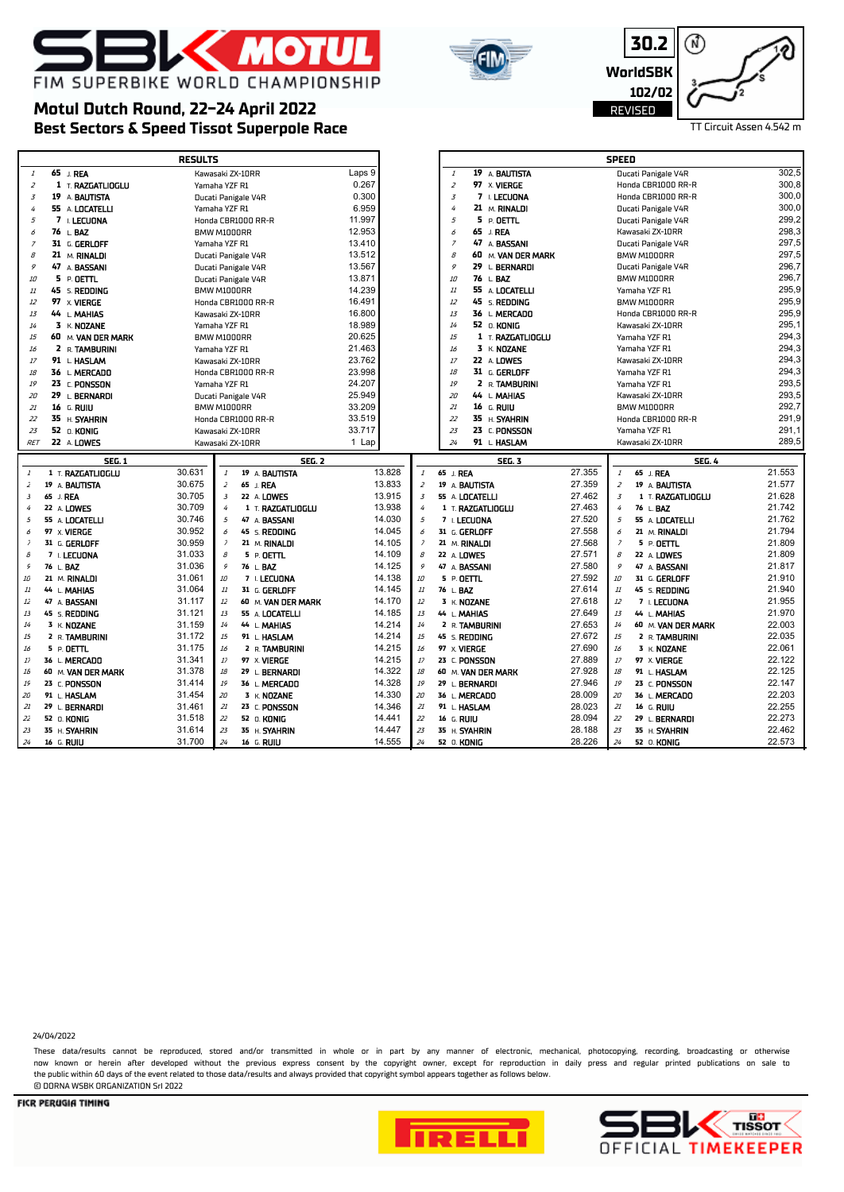

# **Motul Dutch Round, 22-24 April 2022**

|                              | FIM SUPERBIKE WORLD CHAMPIONSHIP<br>Motul Dutch Round, 22-24 April 2022 |        |                                | JU.Z<br>WorldSBK<br>102/02<br>REVISED | v.<br>TT Circuit Assen 4.542 m |
|------------------------------|-------------------------------------------------------------------------|--------|--------------------------------|---------------------------------------|--------------------------------|
|                              | Best Sectors & Speed Tissot Superpole Race                              |        |                                |                                       |                                |
|                              | <b>RESULTS</b>                                                          |        |                                | <b>SPEED</b>                          |                                |
| 65 J. REA                    | Kawasaki ZX-10RR                                                        | Laps 9 | 19 A BAUTISTA                  | Ducati Panigale V4R                   | 302,5                          |
| 1 T. RAZGATLIOGLU            | Yamaha YZF R1                                                           | 0.267  | 97 X VIERGE                    | Honda CBR1000 RR-R                    | 300,8                          |
| 19<br>A <b>BAUTISTA</b>      | Ducati Panigale V4R                                                     | 0.300  | I. LECUONA                     | Honda CBR1000 RR-R                    | 300,0                          |
| 55 A LOCATELLI               | Yamaha YZF R1                                                           | 6.959  | 21 M. RINALDI                  | Ducati Panigale V4R                   | 300,0                          |
| 7.17710314<br>$\overline{ }$ | $\cdots$ $\cdots$ $\cdots$                                              | 44 007 | $\mathbf{r}$ . or $\mathbf{r}$ | $D_{11} = 41 D_{11} + 14 D_{12}$      | ാററാ                           |

**30.2**

间

12)

| $\overline{3}$           |             | 19 A BAUTISTA        |                  |                | Ducati Panigale V4R | 0.300            |                | $\overline{3}$ | 7 I. LECUONA            |                  | Honda CBR1000 RR-R                   | 300,0            |
|--------------------------|-------------|----------------------|------------------|----------------|---------------------|------------------|----------------|----------------|-------------------------|------------------|--------------------------------------|------------------|
| 4                        |             | 55 A LOCATELLI       | Yamaha YZF R1    |                |                     | 6.959            |                | $\overline{4}$ | 21 M. RINALDI           |                  | Ducati Panigale V4R                  | 300,0            |
| 5                        |             | 7 I. LECUONA         |                  |                | Honda CBR1000 RR-R  | 11.997           |                | 5              | 5 P. OETTL              |                  | Ducati Panigale V4R                  | 299,2            |
| 6                        |             | 76 L.BAZ             | BMW M1000RR      |                |                     | 12.953           |                | 6              | 65<br>J. REA            |                  | Kawasaki ZX-10RR                     | 298,3            |
| 7                        |             | 31 G. GERLOFF        | Yamaha YZF R1    |                |                     | 13.410           |                | $\overline{z}$ | 47 A BASSANI            |                  | Ducati Panigale V4R                  | 297,5            |
| $\mathcal{B}$            |             | 21 M. RINALDI        |                  |                | Ducati Panigale V4R | 13.512           |                | $\mathcal{B}$  | 60 M. VAN DER MARK      |                  | BMW M1000RR                          | 297,5            |
| 9                        |             | 47 A BASSANI         |                  |                | Ducati Panigale V4R | 13.567           |                | 9              | 29<br>L. BERNARDI       |                  | Ducati Panigale V4R                  | 296,7            |
| 10                       |             | 5 P. OETTL           |                  |                | Ducati Panigale V4R | 13.871           |                | 10             | 76 L.BAZ                |                  | BMW M1000RR                          | 296,7            |
| 11                       |             | 45 s. <b>REDDING</b> | BMW M1000RR      |                |                     | 14.239           |                | 11             | 55 A LOCATELLI          |                  | Yamaha YZF R1                        | 295,9            |
| 12                       |             | 97 x VIERGE          |                  |                | Honda CBR1000 RR-R  | 16.491           |                | 12             | 45<br>s. <b>REDDING</b> |                  | BMW M1000RR                          | 295,9            |
| 13                       |             | 44 L. MAHIAS         |                  |                | Kawasaki ZX-10RR    | 16.800           |                | 13             | 36 L. MERCADO           |                  | Honda CBR1000 RR-R                   | 295,9            |
| 14                       |             | $3 K$ NOZANE         | Yamaha YZF R1    |                |                     | 18.989           |                | 14             | 52 O. KONIG             |                  | Kawasaki ZX-10RR                     | 295,1            |
| 15                       |             | 60 M. VAN DER MARK   | BMW M1000RR      |                |                     | 20.625           |                | 15             | 1 T. RAZGATLIOGLU       |                  | Yamaha YZF R1                        | 294,3            |
|                          |             |                      |                  |                |                     | 21.463           |                | 16             | 3 K. NOZANE             |                  | Yamaha YZF R1                        | 294,3            |
| 16                       |             | 2 R. TAMBURINI       | Yamaha YZF R1    |                |                     | 23.762           |                | 17             |                         |                  |                                      | 294,3            |
| 17                       |             | 91 L. HASLAM         |                  |                | Kawasaki ZX-10RR    |                  |                |                | 22 A LOWES              |                  | Kawasaki ZX-10RR                     | 294,3            |
| 18                       |             | 36 L. MERCADO        |                  |                | Honda CBR1000 RR-R  | 23.998           |                | 18             | 31 G. GERLOFF           |                  | Yamaha YZF R1                        | 293,5            |
| 19                       |             | 23 C. PONSSON        | Yamaha YZF R1    |                |                     | 24.207           |                | 19             | 2 R. TAMBURINI          |                  | Yamaha YZF R1                        |                  |
| 20                       |             | 29 L. BERNARDI       |                  |                | Ducati Panigale V4R | 25.949           |                | 20             | 44 L. MAHIAS            |                  | Kawasaki ZX-10RR                     | 293,5            |
| 21                       |             | 16 G. RUIU           | BMW M1000RR      |                |                     | 33.209           |                | 21             | 16 G. RUIU              |                  | BMW M1000RR                          | 292,7            |
| 22                       |             | 35 H. SYAHRIN        |                  |                | Honda CBR1000 RR-R  | 33.519           |                | 22             | 35 H. SYAHRIN           |                  | Honda CBR1000 RR-R                   | 291,9            |
| 23                       |             | 52 O. KONIG          |                  |                | Kawasaki ZX-10RR    | 33.717           |                | 23             | 23 C. PONSSON           |                  | Yamaha YZF R1                        | 291,1            |
| <b>RET</b>               |             | 22 A LOWES           |                  |                | Kawasaki ZX-10RR    | 1 Lap            |                | 24             | 91 L. HASLAM            |                  | Kawasaki ZX-10RR                     | 289,5            |
|                          |             | <b>SEG. 1</b>        |                  |                | <b>SEG. 2</b>       |                  |                |                | <b>SEG. 3</b>           |                  | <b>SEG. 4</b>                        |                  |
|                          |             |                      |                  |                |                     |                  |                |                |                         |                  |                                      |                  |
| $\mathbf{1}$             |             | 1 T. RAZGATLIOGLU    | 30.631           | $\cal{I}$      | 19 A BAUTISTA       | 13.828           | $\mathbf{1}$   | 65 J. REA      |                         | 27.355           | $\mathcal{I}$<br>65 J. REA           | 21.553           |
| 2                        |             | 19 A. BAUTISTA       | 30.675           | $\overline{z}$ |                     | 13.833           | $\bar{Z}$      |                | 19 A. BAUTISTA          | 27.359           | $\overline{z}$<br>19 A. BAUTISTA     | 21.577           |
| $\overline{3}$           | 65 J. REA   |                      | 30.705           | $\overline{3}$ | 65 J. REA           | 13.915           | $\overline{3}$ |                |                         | 27.462           | $\overline{3}$                       | 21.628           |
| 4                        |             |                      | 30.709           | $\overline{4}$ | 22 A LOWES          | 13.938           | 4              |                | 55 A. LOCATELLI         | 27.463           | 1 T. RAZGATLIOGLU<br>4               | 21.742           |
|                          |             | 22 A. LOWES          |                  |                | 1 T. RAZGATLIOGLU   |                  |                |                | 1 T. RAZGATLIOGLU       |                  | 76 L. BAZ<br>5                       | 21.762           |
| 5                        |             | 55 A. LOCATELLI      | 30.746           | 5              | 47 A BASSANI        | 14.030           | $\sqrt{2}$     |                | 7 I. LECUONA            | 27.520           | 55 A LOCATELLI                       |                  |
| 6                        |             | 97 X VIERGE          | 30.952           | 6<br>7         | 45 S. REDDING       | 14.045           | 6              |                | 31 G. GERLOFF           | 27.558           | 21 M. RINALDI<br>6<br>$\overline{z}$ | 21.794           |
| $\overline{\phantom{a}}$ |             | 31 G. GERLOFF        | 30.959           |                | 21 M. RINALDI       | 14.105           | $\bar{z}$      |                | 21 M. RINALDI           | 27.568           | 5 P. OETTL                           | 21.809           |
| $\mathcal{B}$            |             | 7 I. LECUONA         | 31.033           | $\mathcal{B}$  | 5 P. OETTL          | 14.109           | $\mathcal S$   | 22 A. LOWES    |                         | 27.571           | $\mathcal{B}$<br>22 A LOWES          | 21.809           |
| $\mathcal{G}$            | 76 L BAZ    |                      | 31.036           | 9              | 76 L. BAZ           | 14.125           | $\mathcal{G}$  |                | 47 A. BASSANI           | 27.580           | 9<br>47 A BASSANI                    | 21.817           |
| 10                       |             | 21 M. RINALDI        | 31.061           | 10             | 7 I. LECUONA        | 14.138           | 10             | 5 P. DETTL     |                         | 27.592           | 10<br>31 G. GERLOFF                  | 21.910           |
| $11\,$                   |             | 44 L. MAHIAS         | 31.064           | 11             | 31 G. GERLOFF       | 14.145           | 11             | 76 L. BAZ      |                         | 27.614           | 11<br>45 S. REDDING                  | 21.940           |
| 12                       |             | 47 A. BASSANI        | 31.117           | 12             | 60 M. VAN DER MARK  | 14.170           | $1\bar{z}$     |                | 3 K. NOZANE             | 27.618           | 12<br>7 I. LECUONA                   | 21.955           |
| 13                       |             | 45 S. REDDING        | 31.121           | 13             | 55 A LOCATELLI      | 14.185           | 13             | 44 L. MAHIAS   |                         | 27.649           | 13<br>44 L. MAHIAS                   | 21.970           |
| 14                       |             | 3 K. NOZANE          | 31.159           | 14             | 44 L. MAHIAS        | 14.214           | 14             |                | 2 R. TAMBURINI          | 27.653           | 14<br>60 M. VAN DER MARK             | 22.003           |
| 15                       |             | 2 R. TAMBURINI       | 31.172           | 15             | 91 L HASLAM         | 14.214           | 15             |                | 45 S. REDDING           | 27.672           | 15<br>2 R. TAMBURINI                 | 22.035           |
| 16                       |             | 5 P.OETTL            | 31.175           | 16             | 2 R. TAMBURINI      | 14.215           | 16             | 97 X. VIERGE   |                         | 27.690           | 16<br>3 K. NOZANE                    | 22.061           |
| 17                       |             | 36 L MERCADO         | 31.341           | 17             | 97 X. VIERGE        | 14.215           | $17$           |                | 23 C. PONSSON           | 27.889           | 17<br>97 X. VIERGE                   | 22.122           |
| 18                       |             | 60 M. VAN DER MARK   | 31.378           | 18             | 29 L. BERNARDI      | 14.322           | 18             |                | 60 M. VAN DER MARK      | 27.928           | 18<br>91 L. HASLAM                   | 22.125           |
| 19                       |             | 23 C. PONSSON        | 31.414           | 19             | 36 L. MERCADO       | 14.328           | 19             |                | 29 L. BERNARDI          | 27.946           | 19<br>23 C. PONSSON                  | 22.147           |
| 20                       |             | 91 L HASLAM          | 31.454           | 20             | 3 K. NOZANE         | 14.330           | 20             |                | 36 L. MERCADO           | 28.009           | 20<br>36 L. MERCADO                  | 22.203           |
| 21                       |             | 29 L. BERNARDI       | 31.461           | 21             | 23 C. PONSSON       | 14.346           | 21             |                | 91 L. HASLAM            | 28.023           | 21<br>16 G. RUIU                     | 22.255           |
| 22                       | 52 O. KONIG |                      | 31.518           | 22             | 52 O. KONIG         | 14.441           | 22             | 16 G. RUIU     |                         | 28.094           | 22<br>29 L. BERNARDI                 | 22.273           |
| 23                       |             | 35 H. SYAHRIN        | 31.614<br>31.700 | 23             | 35 H. SYAHRIN       | 14.447<br>14.555 | 23<br>24       |                | 35 H. SYAHRIN           | 28.188<br>28.226 | 23<br>35 H. SYAHRIN                  | 22.462<br>22.573 |

24/04/2022

These data/results cannot be reproduced, stored and/or transmitted in whole or in part by any manner of electronic, mechanical, photocopying, recording, broadcasting or otherwise now known or herein afer developed without the previous express consent by the copyright owner, except for reproduction in daily press and regular printed publications on sale to the public within 60 days of the event related to those data/results and always provided that copyright symbol appears together as follows below. © DORNA WSBK ORGANIZATION Srl 2022



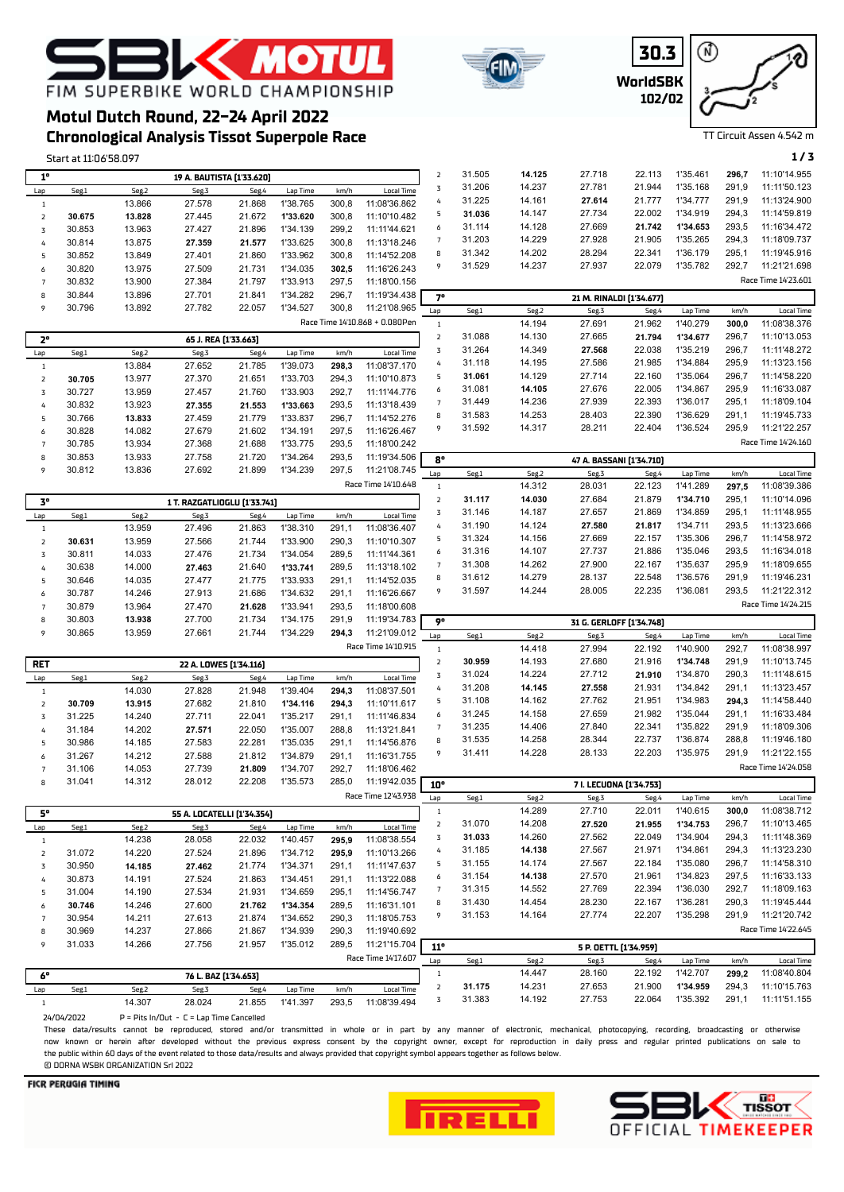**WorldSBK 30.3 102/02**



TT Circuit Assen 4.542 m

## **EMOTU** FIM SUPERBIKE WORLD CHAMPIONSHIP

### **Chronological Analysis Tissot Superpole Race Motul Dutch Round, 22-24 April 2022**

Start at 11:06'58.097 **1 / 3**

|                         |        |                 |                              | 19 A. BAUTISTA [1'33.620]  |                      |               |                                     | $\mathsf{2}$        | 31.505           | 14.125           | 27.718                   | 22.113           | 1'35.461             | 296,7          | 11:10'14.955                 |
|-------------------------|--------|-----------------|------------------------------|----------------------------|----------------------|---------------|-------------------------------------|---------------------|------------------|------------------|--------------------------|------------------|----------------------|----------------|------------------------------|
| $1^{\circ}$<br>Lap      | Seg.1  | Seg.2           | Seg.3                        | Seg.4                      | Lap Time             | km/h          | Local Time                          | $\mathbf 3$         | 31.206           | 14.237           | 27.781                   | 21.944           | 1'35.168             | 291,9          | 11:11'50.123                 |
| $\,1\,$                 |        | 13.866          | 27.578                       | 21.868                     | 1'38.765             | 300,8         | 11:08'36.862                        | 4                   | 31.225           | 14.161           | 27.614                   | 21.777           | 1'34.777             | 291,9          | 11:13'24.900                 |
| $\overline{\mathbf{2}}$ | 30.675 | 13.828          | 27.445                       | 21.672                     | 1'33.620             | 300,8         | 11:10'10.482                        | 5                   | 31.036           | 14.147           | 27.734                   | 22.002           | 1'34.919             | 294,3          | 11:14'59.819                 |
| 3                       | 30.853 | 13.963          | 27.427                       | 21.896                     | 1'34.139             | 299,2         | 11:11'44.621                        | 6                   | 31.114           | 14.128           | 27.669                   | 21.742           | 1'34.653             | 293,5          | 11:16'34.472                 |
| 4                       | 30.814 | 13.875          | 27.359                       | 21.577                     | 1'33.625             | 300,8         | 11:13'18.246                        | $\overline{7}$      | 31.203           | 14.229           | 27.928                   | 21.905           | 1'35.265             | 294,3          | 11:18'09.737                 |
| 5                       | 30.852 | 13.849          | 27.401                       | 21.860                     | 1'33.962             | 300,8         | 11:14'52.208                        | 8                   | 31.342           | 14.202           | 28.294                   | 22.341           | 1'36.179             | 295,1          | 11:19'45.916                 |
| 6                       | 30.820 | 13.975          | 27.509                       | 21.731                     | 1'34.035             | 302,5         | 11:16'26.243                        | 9                   | 31.529           | 14.237           | 27.937                   | 22.079           | 1'35.782             | 292,7          | 11:21'21.698                 |
| $\overline{7}$          | 30.832 | 13.900          | 27.384                       | 21.797                     | 1'33.913             | 297,5         | 11:18'00.156                        |                     |                  |                  |                          |                  |                      |                | Race Time 14'23.601          |
| 8                       | 30.844 | 13.896          | 27.701                       | 21.841                     | 1'34.282             | 296,7         | 11:19'34.438                        | 7°                  |                  |                  | 21 M. RINALDI [1'34.677] |                  |                      |                |                              |
| 9                       | 30.796 | 13.892          | 27.782                       | 22.057                     | 1'34.527             | 300,8         | 11:21'08.965                        | Lap                 | Seg.1            | Seg.2            | Seg.3                    | Seg.4            | Lap Time             | km/h           | <b>Local Time</b>            |
|                         |        |                 |                              |                            |                      |               | Race Time 14'10.868 + 0.080Pen      | $\mathbf{1}$        |                  | 14.194           | 27.691                   | 21.962           | 1'40.279             | 300,0          | 11:08'38.376                 |
| $2^{\circ}$             |        |                 |                              | 65 J. REA [1'33.663]       |                      |               |                                     | $\mathsf{Z}$        | 31.088           | 14.130           | 27.665                   | 21.794           | 1'34.677             | 296,7          | 11:10'13.053                 |
| Lap                     | Seg.1  | Seg.2           | Seg.3                        | Seg.4                      | Lap Time             | km/h          | <b>Local Time</b>                   | $\mathbf 3$         | 31.264           | 14.349           | 27.568                   | 22.038           | 1'35.219             | 296,7          | 11:11'48.272                 |
| $\,1\,$                 |        | 13.884          | 27.652                       | 21.785                     | 1'39.073             | 298,3         | 11:08'37.170                        | 4                   | 31.118           | 14.195           | 27.586                   | 21.985           | 1'34.884             | 295,9          | 11:13'23.156                 |
| $\overline{\mathbf{2}}$ | 30.705 | 13.977          | 27.370                       | 21.651                     | 1'33.703             | 294,3         | 11:10'10.873                        | 5                   | 31.061           | 14.129           | 27.714                   | 22.160           | 1'35.064             | 296,7          | 11:14'58.220                 |
| $\mathbf 3$             | 30.727 | 13.959          | 27.457                       | 21.760                     | 1'33.903             | 292,7         | 11:11'44.776                        | 6                   | 31.081           | 14.105           | 27.676                   | 22.005           | 1'34.867             | 295,9          | 11:16'33.087                 |
| 4                       | 30.832 | 13.923          | 27.355                       | 21.553                     | 1'33.663             | 293,5         | 11:13'18.439                        | $\overline{7}$      | 31.449           | 14.236           | 27.939                   | 22.393           | 1'36.017             | 295,1          | 11:18'09.104                 |
| 5                       | 30.766 | 13.833          | 27.459                       | 21.779                     | 1'33.837             | 296,7         | 11:14'52.276                        | 8                   | 31.583           | 14.253           | 28.403                   | 22.390           | 1'36.629             | 291,1          | 11:19'45.733                 |
| 6                       | 30.828 | 14.082          | 27.679                       | 21.602                     | 1'34.191             | 297,5         | 11:16'26.467                        | 9                   | 31.592           | 14.317           | 28.211                   | 22.404           | 1'36.524             | 295,9          | 11:21'22.257                 |
| $\overline{7}$          | 30.785 | 13.934          | 27.368                       | 21.688                     | 1'33.775             | 293,5         | 11:18'00.242                        |                     |                  |                  |                          |                  |                      |                | Race Time 14'24.160          |
| 8                       | 30.853 | 13.933          | 27.758                       | 21.720                     | 1'34.264             | 293,5         | 11:19'34.506                        | 8°                  |                  |                  | 47 A. BASSANI [1'34.710] |                  |                      |                |                              |
| 9                       | 30.812 | 13.836          | 27.692                       | 21.899                     | 1'34.239             | 297,5         | 11:21'08.745                        | Lap                 | Seg.1            | Seg.2            | Seg.3                    | Seg.4            | Lap Time             | km/h           | <b>Local Time</b>            |
|                         |        |                 |                              |                            |                      |               | Race Time 14'10.648                 | $\mathbf{1}$        |                  | 14.312           | 28.031                   | 22.123           | 1'41.289             | 297,5          | 11:08'39.386                 |
| $\mathbf{3}^\mathbf{o}$ |        |                 | 1 T. RAZGATLIOGLU [1'33.741] |                            |                      |               |                                     | $\mathsf{2}$        | 31.117           | 14.030           | 27.684                   | 21.879           | 1'34.710             | 295,1          | 11:10'14.096                 |
| Lap                     | Seg.1  | Seg.2           | Seg.3                        | Seg.4                      | Lap Time             | km/h          | <b>Local Time</b>                   | $\mathbf 3$         | 31.146           | 14.187           | 27.657                   | 21.869           | 1'34.859             | 295,1          | 11:11'48.955                 |
| $\mathbf{1}$            |        | 13.959          | 27.496                       | 21.863                     | 1'38.310             | 291,1         | 11:08'36.407                        | 4                   | 31.190           | 14.124           | 27.580                   | 21.817           | 1'34.711             | 293,5          | 11:13'23.666                 |
| $\overline{\mathbf{2}}$ | 30.631 | 13.959          | 27.566                       | 21.744                     | 1'33.900             | 290,3         | 11:10'10.307                        | 5                   | 31.324           | 14.156           | 27.669                   | 22.157           | 1'35.306             | 296,7          | 11:14'58.972                 |
| 3                       | 30.811 | 14.033          | 27.476                       | 21.734                     | 1'34.054             | 289,5         | 11:11'44.361                        | 6                   | 31.316           | 14.107           | 27.737                   | 21.886           | 1'35.046             | 293,5          | 11:16'34.018                 |
| 4                       | 30.638 | 14.000          | 27.463                       | 21.640                     | 1'33.741             | 289,5         | 11:13'18.102                        | $\overline{7}$      | 31.308           | 14.262           | 27.900                   | 22.167           | 1'35.637             | 295,9          | 11:18'09.655                 |
| 5                       | 30.646 | 14.035          | 27.477                       | 21.775                     | 1'33.933             | 291,1         | 11:14'52.035                        | 8                   | 31.612           | 14.279           | 28.137                   | 22.548           | 1'36.576             | 291,9          | 11:19'46.231                 |
| 6                       | 30.787 | 14.246          | 27.913                       | 21.686                     | 1'34.632             | 291,1         | 11:16'26.667                        | 9                   | 31.597           | 14.244           | 28.005                   | 22.235           | 1'36.081             | 293,5          | 11:21'22.312                 |
| $\overline{7}$          | 30.879 | 13.964          | 27.470                       | 21.628                     | 1'33.941             | 293,5         | 11:18'00.608                        |                     |                  |                  |                          |                  |                      |                | Race Time 14'24.215          |
| 8                       | 30.803 | 13.938          | 27.700                       | 21.734                     | 1'34.175             | 291,9         | 11:19'34.783                        | 9°                  |                  |                  | 31 G. GERLOFF [1'34.748] |                  |                      |                |                              |
| 9                       | 30.865 | 13.959          | 27.661                       | 21.744                     | 1'34.229             | 294,3         | 11:21'09.012<br>Race Time 14'10.915 | Lap                 | Seg.1            | Seg.2            | Seg.3                    | Seg.4            | Lap Time             | km/h           | <b>Local Time</b>            |
|                         |        |                 |                              |                            |                      |               |                                     |                     |                  |                  |                          |                  |                      |                | 11:08'38.997                 |
|                         |        |                 |                              |                            |                      |               |                                     | $\mathbf{1}$        |                  | 14.418           | 27.994                   | 22.192           | 1'40.900             | 292,7          |                              |
| <b>RET</b>              |        |                 |                              | 22 A. LOWES [1'34.116]     |                      |               |                                     | $\overline{2}$      | 30.959           | 14.193           | 27.680                   | 21.916           | 1'34.748             | 291,9          | 11:10'13.745                 |
| Lap                     | Seg.1  | Seg.2           | Seg.3                        | Seg.4                      | Lap Time             | km/h          | Local Time                          | $\mathbf 3$         | 31.024           | 14.224           | 27.712                   | 21.910           | 1'34.870             | 290,3          | 11:11'48.615                 |
| $\,1\,$                 |        | 14.030          | 27.828                       | 21.948                     | 1'39.404             | 294,3         | 11:08'37.501                        | 4                   | 31.208           | 14.145           | 27.558                   | 21.931           | 1'34.842             | 291,1          | 11:13'23.457                 |
| $\overline{\mathbf{2}}$ | 30.709 | 13.915          | 27.682                       | 21.810                     | 1'34.116             | 294,3         | 11:10'11.617                        | 5                   | 31.108           | 14.162           | 27.762                   | 21.951           | 1'34.983             | 294,3          | 11:14'58.440                 |
| 3                       | 31.225 | 14.240          | 27.711                       | 22.041                     | 1'35.217             | 291,1         | 11:11'46.834                        | 6                   | 31.245           | 14.158           | 27.659                   | 21.982           | 1'35.044             | 291,1          | 11:16'33.484                 |
| 4                       | 31.184 | 14.202          | 27.571                       | 22.050                     | 1'35.007             | 288,8         | 11:13'21.841                        | $\overline{7}$      | 31.235           | 14.406           | 27.840                   | 22.341           | 1'35.822             | 291,9          | 11:18'09.306                 |
| 5                       | 30.986 | 14.185          | 27.583                       | 22.281                     | 1'35.035             | 291,1         | 11:14'56.876                        | 8                   | 31.535           | 14.258           | 28.344                   | 22.737           | 1'36.874             | 288,8          | 11:19'46.180                 |
| 6                       | 31.267 | 14.212          | 27.588                       | 21.812                     | 1'34.879             | 291,1         | 11:16'31.755                        | 9                   | 31.411           | 14.228           | 28.133                   | 22.203           | 1'35.975             | 291,9          | 11:21'22.155                 |
| $\overline{7}$          | 31.106 | 14.053          | 27.739                       | 21.809                     | 1'34.707             | 292,7         | 11:18'06.462                        |                     |                  |                  |                          |                  |                      |                | Race Time 14'24.058          |
| 8                       | 31.041 | 14.312          | 28.012                       | 22.208                     | 1'35.573             | 285,0         | 11:19'42.035                        | $10^{\circ}$        |                  |                  | 7 I. LECUONA [1'34.753]  |                  |                      |                |                              |
|                         |        |                 |                              |                            |                      |               | Race Time 12'43.938                 | Lap                 | Seg.1            | Seg.2            | Seg.3                    | Seg.4            | Lap Time             | km/h           | Local Time                   |
| 5°                      |        |                 |                              | 55 A. LOCATELLI [1'34.354] |                      |               |                                     | $\mathbf{1}$        |                  | 14.289           | 27.710                   | 22.011           | 1'40.615             | 300,0          | 11:08'38.712                 |
| Lap                     | Seg.1  | Seg.2           | Seg.3                        | Seg.4                      | Lap Time             | km/h          | <b>Local Time</b>                   | $\overline{2}$      | 31.070           | 14.208           | 27.520                   | 21.955           | 1'34.753             | 296,7          | 11:10'13.465                 |
| $\mathbf{1}$            |        | 14.238          | 28.058                       | 22.032                     | 1'40.457             | 295,9         | 11:08'38.554                        | 3                   | 31.033           | 14.260           | 27.562                   | 22.049           | 1'34.904             | 294,3          | 11:11'48.369                 |
| $\mathsf{Z}$            | 31.072 | 14.220          | 27.524                       | 21.896                     | 1'34.712             | 295,9         | 11:10'13.266                        | 4                   | 31.185           | 14.138           | 27.567                   | 21.971           | 1'34.861             | 294,3          | 11:13'23.230                 |
| 3                       | 30.950 | 14.185          | 27.462                       | 21.774                     | 1'34.371             | 291,1         | 11:11'47.637                        | 5                   | 31.155           | 14.174           | 27.567                   | 22.184           | 1'35.080             | 296,7          | 11:14'58.310                 |
| 4                       | 30.873 | 14.191          | 27.524                       | 21.863                     | 1'34.451             | 291,1         | 11:13'22.088                        | 6<br>$\overline{7}$ | 31.154           | 14.138           | 27.570                   | 21.961           | 1'34.823             | 297,5<br>292,7 | 11:16'33.133                 |
| 5                       | 31.004 | 14.190          | 27.534                       | 21.931                     | 1'34.659             | 295,1         | 11:14'56.747                        | 8                   | 31.315<br>31.430 | 14.552           | 27.769                   | 22.394           | 1'36.030             | 290,3          | 11:18'09.163<br>11:19'45.444 |
| 6                       | 30.746 | 14.246          | 27.600                       | 21.762                     | 1'34.354             | 289,5         | 11:16'31.101                        |                     |                  | 14.454<br>14.164 | 28.230<br>27.774         | 22.167           | 1'36.281             | 291,9          |                              |
| $\overline{7}$          | 30.954 | 14.211          | 27.613                       | 21.874                     | 1'34.652             | 290,3         | 11:18'05.753                        | 9                   | 31.153           |                  |                          | 22.207           | 1'35.298             |                | 11:21'20.742                 |
| 8                       | 30.969 | 14.237          | 27.866                       | 21.867                     | 1'34.939             | 290,3         | 11:19'40.692                        |                     |                  |                  |                          |                  |                      |                | Race Time 14'22.645          |
| 9                       | 31.033 | 14.266          | 27.756                       | 21.957                     | 1'35.012             | 289,5         | 11:21'15.704                        | 11°                 |                  |                  | 5 P. OETTL [1'34.959]    |                  |                      |                |                              |
|                         |        |                 |                              |                            |                      |               | Race Time 14'17.607                 | Lap                 | Seg.1            | Seg.2            | Seg.3                    | Seg.4            | Lap Time             | km/h           | <b>Local Time</b>            |
| 6°                      |        |                 | 76 L. BAZ [1'34.653]         |                            |                      |               |                                     | $\mathbf{1}$        |                  | 14.447           | 28.160                   | 22.192           | 1'42.707             | 299,2          | 11:08'40.804                 |
| Lap                     | Seg.1  | Seg.2<br>14.307 | Seg.3<br>28.024              | Seg.4<br>21.855            | Lap Time<br>1'41.397 | km/h<br>293.5 | <b>Local Time</b><br>11:08'39.494   | $\overline{2}$<br>3 | 31.175<br>31.383 | 14.231<br>14.192 | 27.653<br>27.753         | 21.900<br>22.064 | 1'34.959<br>1'35.392 | 294,3<br>291,1 | 11:10'15.763<br>11:11'51.155 |

 $24/04/2022$  P = Pits In/Out - C = Lap Time Cancelled

These data/results cannot be reproduced, stored and/or transmitted in whole or in part by any manner of electronic, mechanical, photocopying, recording, broadcasting or otherwise now known or herein afer developed without the previous express consent by the copyright owner, except for reproduction in daily press and regular printed publications on sale to the public within 60 days of the event related to those data/results and always provided that copyright symbol appears together as follows below. © DORNA WSBK ORGANIZATION Srl 2022



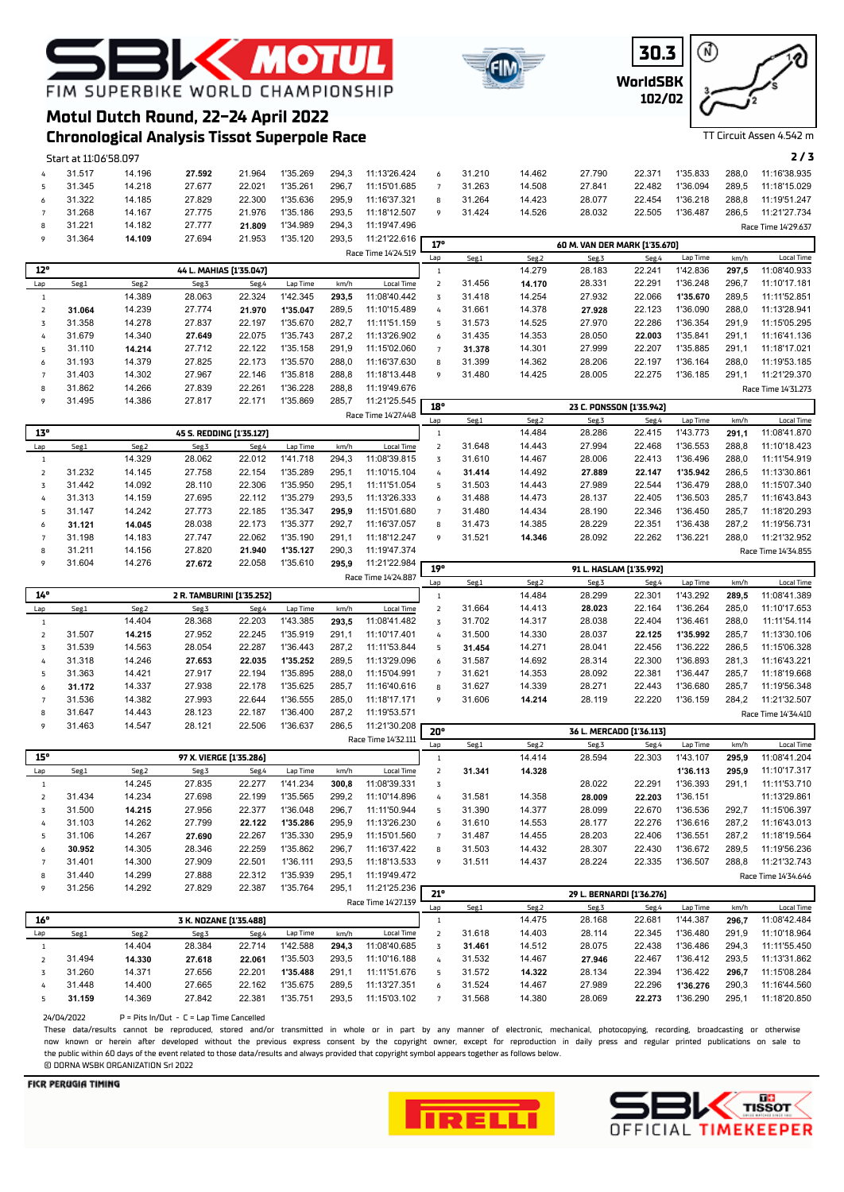## **K MOTU** FIM SUPERBIKE WORLD CHAMPIONSHIP

**Motul Dutch Round, 22-24 April 2022**





TT Circuit Assen 4.542 m

## **Chronological Analysis Tissot Superpole Race**

|                | Start at 11:06'58.097 |        |                          |        |          |       |                     |                |        |        |                               |        |          |       | 2/3                 |
|----------------|-----------------------|--------|--------------------------|--------|----------|-------|---------------------|----------------|--------|--------|-------------------------------|--------|----------|-------|---------------------|
| 4              | 31.517                | 14.196 | 27.592                   | 21.964 | 1'35.269 | 294.3 | 11:13'26.424        | 6              | 31.210 | 14.462 | 27.790                        | 22.371 | 1'35.833 | 288.0 | 11:16'38.935        |
| 5              | 31.345                | 14.218 | 27.677                   | 22.021 | 1'35.261 | 296.7 | 11:15'01.685        | $\overline{7}$ | 31.263 | 14.508 | 27.841                        | 22.482 | 1'36.094 | 289.5 | 11:18'15.029        |
| 6              | 31.322                | 14.185 | 27.829                   | 22.300 | 1'35.636 | 295.9 | 11:16'37.321        | 8              | 31.264 | 14.423 | 28.077                        | 22.454 | 1'36.218 | 288,8 | 11:19'51.247        |
| $\overline{7}$ | 31.268                | 14.167 | 27.775                   | 21.976 | 1'35.186 | 293.5 | 11:18'12.507        | 9              | 31.424 | 14.526 | 28.032                        | 22.505 | 1'36.487 | 286,5 | 11:21'27.734        |
| 8              | 31.221                | 14.182 | 27.777                   | 21.809 | 1'34.989 | 294,3 | 11:19'47.496        |                |        |        |                               |        |          |       | Race Time 14'29.637 |
| 9              | 31.364                | 14.109 | 27.694                   | 21.953 | 1'35.120 | 293,5 | 11:21'22.616        | 17°            |        |        | 60 M. VAN DER MARK [1'35.670] |        |          |       |                     |
|                |                       |        |                          |        |          |       | Race Time 14'24.519 | Lap            | Seg.1  | Seg.2  | Seg.3                         | Seg.4  | Lap Time | km/h  | Local Time          |
| $12^{\circ}$   |                       |        | 44 L. MAHIAS [1'35.047]  |        |          |       |                     |                |        | 14.279 | 28.183                        | 22.241 | 1'42.836 | 297,5 | 11:08'40.933        |
| Lap            | Seg.1                 | Seg.2  | Seg.3                    | Seg.4  | Lap Time | km/h  | Local Time          | $\overline{z}$ | 31.456 | 14.170 | 28.331                        | 22.291 | 1'36.248 | 296.7 | 11:10'17.181        |
| 1              |                       | 14.389 | 28.063                   | 22.324 | 1'42.345 | 293.5 | 11:08'40.442        | $\overline{z}$ | 31.418 | 14.254 | 27.932                        | 22.066 | 1'35.670 | 289,5 | 11:11'52.851        |
| $\overline{2}$ | 31.064                | 14.239 | 27.774                   | 21.970 | 1'35.047 | 289.5 | 11:10'15.489        | 4              | 31.661 | 14.378 | 27.928                        | 22.123 | 1'36.090 | 288.0 | 11:13'28.941        |
| $\overline{z}$ | 31.358                | 14.278 | 27.837                   | 22.197 | 1'35.670 | 282,7 | 11:11'51.159        | 5              | 31.573 | 14.525 | 27.970                        | 22.286 | 1'36.354 | 291,9 | 11:15'05.295        |
| 4              | 31.679                | 14.340 | 27.649                   | 22.075 | 1'35.743 | 287.2 | 11:13'26.902        | 6              | 31.435 | 14.353 | 28.050                        | 22.003 | 1'35.841 | 291,1 | 11:16'41.136        |
| 5              | 31.110                | 14.214 | 27.712                   | 22.122 | 1'35.158 | 291.9 | 11:15'02.060        | $\overline{7}$ | 31.378 | 14.301 | 27.999                        | 22.207 | 1'35.885 | 291,1 | 11:18'17.021        |
| 6              | 31.193                | 14.379 | 27.825                   | 22.173 | 1'35.570 | 288.0 | 11:16'37.630        | 8              | 31.399 | 14.362 | 28.206                        | 22.197 | 1'36.164 | 288.0 | 11:19'53.185        |
|                | 31.403                | 14.302 | 27.967                   | 22.146 | 1'35.818 | 288.8 | 11:18'13.448        | 9              | 31.480 | 14.425 | 28.005                        | 22.275 | 1'36.185 | 291,1 | 11:21'29.370        |
| 8              | 31.862                | 14.266 | 27.839                   | 22.261 | 1'36.228 | 288.8 | 11:19'49.676        |                |        |        |                               |        |          |       | Race Time 14'31.273 |
| 9              | 31.495                | 14.386 | 27.817                   | 22.171 | 1'35.869 | 285.7 | 11:21'25.545        | 18°            |        |        | 23 C. PONSSON [1'35.942]      |        |          |       |                     |
|                |                       |        |                          |        |          |       | Race Time 14'27.448 | Lap            | Seg.1  | Seg.2  | Seg.3                         | Seg.4  | Lap Time | km/h  | Local Time          |
| 13°            |                       |        | 45 S. REDDING (1'35.127) |        |          |       |                     |                |        | 14.484 | 28.286                        | 22.415 | 1'43.773 | 291.1 | 11:08'41.870        |
| Lap            | Seg.1                 | Seg.2  | Seg.3                    | Seg.4  | Lap Time | km/h  | Local Time          | $\overline{2}$ | 31.648 | 14.443 | 27.994                        | 22.468 | 1'36.553 | 288.8 | 11:10'18.423        |
| $\overline{1}$ |                       | 14.329 | 28.062                   | 22.012 | 1'41.718 | 294.3 | 11:08'39.815        | $\overline{z}$ | 31.610 | 14.467 | 28,006                        | 22.413 | 1'36.496 | 288,0 | 11:11'54.919        |
| $\overline{2}$ | 31.232                | 14.145 | 27.758                   | 22.154 | 1'35.289 | 295.1 | 11:10'15.104        | 4              | 31.414 | 14.492 | 27.889                        | 22.147 | 1'35.942 | 286.5 | 11:13'30.861        |

|     | 31.495 | 14.386 | 27.817                   | 22.171 | 1'35.869 | 285,7 | 11:21'25.545        | 18° |        |        | 23 C. PONSSON (1'35.942) |        |          |       |                     |
|-----|--------|--------|--------------------------|--------|----------|-------|---------------------|-----|--------|--------|--------------------------|--------|----------|-------|---------------------|
|     |        |        |                          |        |          |       | Race Time 14'27.448 | Lan | Seg.1  | Seg.2  | Seg.3                    | Seg.4  | Lap Time | km/h  | Local Time          |
| 13° |        |        | 45 S. REDDING (1'35.127) |        |          |       |                     |     |        | 14.484 | 28.286                   | 22.415 | 1'43.773 | 291.1 | 11:08'41.870        |
| Lap | Seg.1  | Seg.2  | Seg.3                    | Seg.4  | Lap Time | km/h  | Local Time          |     | 31.648 | 14.443 | 27.994                   | 22.468 | 1'36.553 | 288.8 | 11:10'18.423        |
|     |        | 14.329 | 28.062                   | 22.012 | 1'41.718 | 294.3 | 11:08'39.815        | 3   | 31.610 | 14.467 | 28.006                   | 22.413 | 1'36.496 | 288.0 | 11:11'54.919        |
|     | 31.232 | 14.145 | 27.758                   | 22.154 | 1'35.289 | 295.1 | 11:10'15.104        | 4   | 31.414 | 14.492 | 27.889                   | 22.147 | 1'35.942 | 286.5 | 11:13'30.861        |
| 3   | 31.442 | 14.092 | 28.110                   | 22.306 | 1'35.950 | 295.1 | 11:11'51.054        | 5.  | 31.503 | 14.443 | 27.989                   | 22.544 | 1'36.479 | 288.0 | 11:15'07.340        |
| 4   | 31.313 | 14.159 | 27.695                   | 22.112 | 1'35.279 | 293.5 | 11:13'26.333        | 6   | 31.488 | 14.473 | 28.137                   | 22.405 | 1'36.503 | 285.7 | 11:16'43.843        |
| 5   | 31.147 | 14.242 | 27.773                   | 22.185 | 1'35.347 | 295.9 | 11:15'01.680        |     | 31.480 | 14.434 | 28.190                   | 22.346 | 1'36.450 | 285.7 | 11:18'20.293        |
| 6   | 31.121 | 14.045 | 28.038                   | 22.173 | 1'35.377 | 292.7 | 11:16'37.057        | 8   | 31.473 | 14.385 | 28.229                   | 22.351 | 1'36.438 | 287.2 | 11:19'56.731        |
|     | 31.198 | 14.183 | 27.747                   | 22.062 | 1'35.190 | 291.1 | 11:18'12.247        | 9   | 31.521 | 14.346 | 28.092                   | 22.262 | 1'36.221 | 288,0 | 11:21'32.952        |
| 8   | 31.211 | 14.156 | 27,820                   | 21.940 | 1'35.127 | 290,3 | 11:19'47.374        |     |        |        |                          |        |          |       | Race Time 14'34.855 |
| 9   | 31.604 | 14.276 | 27.672                   | 22.058 | 1'35.610 | 295,9 | 11:21'22.984        | 19° |        |        | 91 L. HASLAM [1'35.992]  |        |          |       |                     |

|     |        |        |                           |        |          |       |                     | -57     |        |        | 71 L. NAJLAM (1.33.774) |        |          |       |                     |
|-----|--------|--------|---------------------------|--------|----------|-------|---------------------|---------|--------|--------|-------------------------|--------|----------|-------|---------------------|
|     |        |        |                           |        |          |       | Race Time 14'24.887 | Lan     | Seg.1  | Seg.2  | Seg.3                   | Seg.4  | Lap Time | km/h  | Local Time          |
| 14° |        |        | 2 R. TAMBURINI (1'35.252) |        |          |       |                     |         |        | 14.484 | 28.299                  | 22.301 | 1'43.292 | 289.5 | 11:08'41.389        |
| Lap | Seg.1  | Seg.2  | Seg.3                     | Seg.4  | Lap Time | km/h  | Local Time          |         | 31.664 | 14.413 | 28.023                  | 22.164 | 1'36.264 | 285.0 | 11:10'17.653        |
|     |        | 14.404 | 28.368                    | 22.203 | 1'43.385 | 293.5 | 11:08'41.482        |         | 31.702 | 14.317 | 28.038                  | 22.404 | 1'36.461 | 288.0 | 11:11'54.114        |
|     | 31.507 | 14.215 | 27.952                    | 22.245 | 35.919   | 291.1 | 11:10'17.401        | 4       | 31.500 | 14.330 | 28.037                  | 22.125 | 1'35.992 | 285.7 | 11:13'30.106        |
|     | 31.539 | 14.563 | 28.054                    | 22.287 | 1'36.443 | 287.2 | 11:11'53.844        |         | 31.454 | 14.271 | 28.041                  | 22.456 | 1'36.222 | 286.5 | 11:15'06.328        |
| 4   | 31.318 | 14.246 | 27.653                    | 22.035 | 1'35.252 | 289.5 | 11:13'29.096        | 6       | 31.587 | 14.692 | 28.314                  | 22,300 | 1'36.893 | 281.3 | 11:16'43.221        |
|     | 31.363 | 14.421 | 27.917                    | 22.194 | 35.895   | 288.0 | 11:15'04.991        |         | 31.621 | 14.353 | 28.092                  | 22.381 | 1'36.447 | 285.7 | 11:18'19.668        |
| 6   | 31.172 | 14.337 | 27.938                    | 22.178 | '35.625  | 285.7 | 11:16'40.616        | 8       | 31.627 | 14.339 | 28.271                  | 22.443 | 1'36.680 | 285.7 | 11:19'56.348        |
|     | 31.536 | 14.382 | 27.993                    | 22.644 | 1'36.555 | 285.0 | 11:18'17.171        | $\circ$ | 31.606 | 14.214 | 28.119                  | 22.220 | 1'36.159 | 284,2 | 11:21'32.507        |
|     | 31.647 | 14.443 | 28.123                    | 22.187 | '36.400  | 287.2 | 11:19'53.571        |         |        |        |                         |        |          |       | Race Time 14'34.410 |

| 9   | 31.463 | 14.547 | 28.121                  | 22.506 | 1'36.637 | 286,5 | 11:21'30.208        | 20°            |        |        | 36 L. MERCADO [1'36.113] |        |          |       |                     |
|-----|--------|--------|-------------------------|--------|----------|-------|---------------------|----------------|--------|--------|--------------------------|--------|----------|-------|---------------------|
|     |        |        |                         |        |          |       | Race Time 14'32.111 | Lap            | Seg.1  | Seg.2  | Seg.3                    | Seg.4  | Lap Time | km/h  | <b>Local Time</b>   |
| 15° |        |        | 97 X. VIERGE [1'35.286] |        |          |       |                     |                |        | 14.414 | 28.594                   | 22.303 | 1'43.107 | 295,9 | 11:08'41.204        |
| Lap | Seg.1  | Seg.2  | Seg.3                   | Seg.4  | Lap Time | km/h  | Local Time          |                | 31.341 | 14.328 |                          |        | 1'36.113 | 295.9 | 11:10'17.317        |
|     |        | 14.245 | 27.835                  | 22.277 | 1'41.234 | 300.8 | 11:08'39.331        | $\overline{3}$ |        |        | 28.022                   | 22.291 | 1'36.393 | 291.1 | 11:11'53.710        |
|     | 31.434 | 14.234 | 27.698                  | 22.199 | 1'35.565 | 299.2 | 11:10'14.896        | 4              | 31.581 | 14.358 | 28.009                   | 22.203 | 1'36.151 |       | 11:13'29.861        |
|     | 31.500 | 14.215 | 27.956                  | 22,377 | 1'36.048 | 296.7 | 11:11'50.944        |                | 31.390 | 14.377 | 28.099                   | 22.670 | 1'36.536 | 292.7 | 11:15'06.397        |
| 4   | 31.103 | 14.262 | 27.799                  | 22.122 | 1'35.286 | 295.9 | 11:13'26.230        | 6              | 31.610 | 14.553 | 28.177                   | 22.276 | 1'36.616 | 287.2 | 11:16'43.013        |
|     | 31.106 | 14.267 | 27.690                  | 22.267 | 1'35.330 | 295.9 | 11:15'01.560        |                | 31.487 | 14.455 | 28.203                   | 22.406 | 1'36.551 | 287.2 | 11:18'19.564        |
| 6   | 30.952 | 14.305 | 28.346                  | 22.259 | 1'35.862 | 296.7 | 11:16'37.422        | 8              | 31.503 | 14.432 | 28.307                   | 22.430 | 1'36.672 | 289.5 | 11:19'56.236        |
|     | 31.401 | 14.300 | 27.909                  | 22.501 | 1'36.111 | 293.5 | 11:18'13.533        | $\circ$        | 31.511 | 14.437 | 28.224                   | 22.335 | 1'36.507 | 288,8 | 11:21'32.743        |
| 8   | 31.440 | 14.299 | 27.888                  | 22.312 | 1'35.939 | 295.1 | 11:19'49.472        |                |        |        |                          |        |          |       | Race Time 14'34.646 |
|     | 31 256 | 14 292 | 27829                   | 22.387 | 1'35 764 | 295.1 | 11.21'25.236        |                |        |        |                          |        |          |       |                     |

|     | <b>JILZJU</b> | 14.ZYZ                                     | 21.OZY | 22.JOI | 1 JJ./04 | 290,  | 11.2125.230         | 21° |        |        | 29 L. BERNARDI (1'36.276) |        |          |       |              |
|-----|---------------|--------------------------------------------|--------|--------|----------|-------|---------------------|-----|--------|--------|---------------------------|--------|----------|-------|--------------|
|     |               |                                            |        |        |          |       | Race Time 14'27.139 | Lan | Seg.1  | Seg.2  | Seg.3                     | Seg.4  | Lap Time | km/h  | Local Time   |
| 16° |               |                                            |        |        |          |       |                     |     |        | 14.475 | 28.168                    | 22.681 | 1'44.387 | 296.7 | 11:08'42.484 |
| Lap | Seg.1         | Seg.2                                      | Seg.3  | Seg.4  | Lap Time | km/h  | Local Time          |     | 31.618 | 14.403 | 28.114                    | 22.345 | 1'36.480 | 291.9 | 11:10'18.964 |
|     |               | 3 K. NOZANE [1'35.488]<br>28.384<br>14.404 |        | 22.714 | 1'42.588 | 294.3 | 11:08'40.685        |     | 31.461 | 14.512 | 28.075                    | 22.438 | 1'36.486 | 294.3 | 11:11'55.450 |
|     | 31.494        | 14.330                                     | 27.618 | 22.061 | 1'35.503 | 293.5 | 11:10'16.188        |     | 31.532 | 14.467 | 27.946                    | 22.467 | 1'36.412 | 293.5 | 11:13'31.862 |
|     | 31.260        | 14.371                                     | 27.656 | 22.201 | 1'35.488 | 291.7 | 11:11'51.676        |     | 31.572 | 14.322 | 28.134                    | 22.394 | 1'36.422 | 296.7 | 11:15'08.284 |
|     | 31.448        | 14.400                                     | 27.665 | 22.162 | ''35.675 | 289.5 | 11:13'27.351        | 6   | 31.524 | 14.467 | 27.989                    | 22.296 | 1'36.276 | 290.3 | 11:16'44.560 |
|     | 31.159        | 14.369                                     | 27.842 | 22.381 | 1'35.751 | 293.5 | 11:15'03.102        |     | 31.568 | 14.380 | 28.069                    | 22.273 | 1'36.290 | 295.1 | 11:18'20.850 |

24/04/2022 P = Pits In/Out - C = Lap Time Cancelled

These data/results cannot be reproduced, stored and/or transmitted in whole or in part by any manner of electronic, mechanical, photocopying, recording, broadcasting or otherwise now known or herein afer developed without the previous express consent by the copyright owner, except for reproduction in daily press and regular printed publications on sale to the public within 60 days of the event related to those data/results and always provided that copyright symbol appears together as follows below. © DORNA WSBK ORGANIZATION Srl 2022



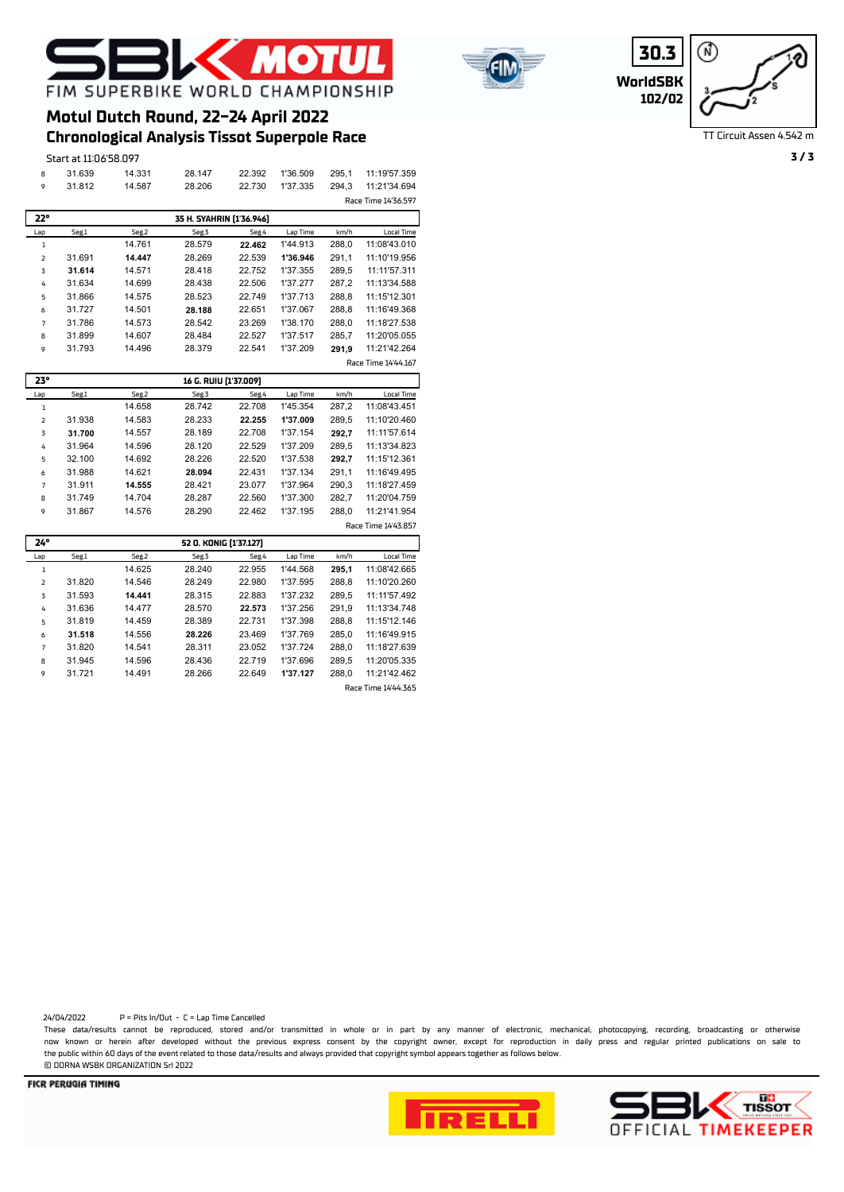



**WorldSBK 30.3 102/02**

⋒

TT Circuit Assen 4.542 m

|     | Start at 11:06'58.097 |        |                          |        |          |       |                     |
|-----|-----------------------|--------|--------------------------|--------|----------|-------|---------------------|
| 8   | 31.639                | 14.331 | 28.147                   | 22.392 | 1'36.509 | 295,1 | 11:19'57.359        |
| 9   | 31.812                | 14.587 | 28.206                   | 22.730 | 1'37.335 | 294,3 | 11:21'34.694        |
|     |                       |        |                          |        |          |       | Race Time 14'36.597 |
| 22° |                       |        | 35 H. SYAHRIN [1'36.946] |        |          |       |                     |
| Lap | Seg.1                 | Seg.2  | Seg.3                    | Seg.4  | Lap Time | km/h  | Local Time          |
|     |                       | 14.761 | 28.579                   | 22.462 | 1'44.913 | 288,0 | 11:08'43.010        |
| 2   | 31.691                | 14.447 | 28.269                   | 22.539 | 1'36.946 | 291,1 | 11:10'19.956        |
| 3   | 31.614                | 14.571 | 28.418                   | 22.752 | 1'37.355 | 289,5 | 11:11'57.311        |
| 4   | 31.634                | 14.699 | 28.438                   | 22.506 | 1'37.277 | 287,2 | 11:13'34.588        |
| 5   | 31.866                | 14.575 | 28.523                   | 22.749 | 1'37.713 | 288,8 | 11:15'12.301        |
| 6   | 31.727                | 14.501 | 28.188                   | 22.651 | 1'37.067 | 288,8 | 11:16'49.368        |
|     | 31.786                | 14.573 | 28.542                   | 23.269 | 1'38.170 | 288,0 | 11:18'27.538        |
| 8   | 31.899                | 14.607 | 28.484                   | 22.527 | 1'37.517 | 285,7 | 11:20'05.055        |
| 9   | 31.793                | 14.496 | 28.379                   | 22.541 | 1'37.209 | 291,9 | 11:21'42.264        |
|     |                       |        |                          |        |          |       | Race Time 14'44.167 |

**Chronological Analysis Tissot Superpole Race Motul Dutch Round, 22-24 April 2022**

| 23°            |        |        | 16 G. RUIU [1'37.009] |        |          |       |                     |
|----------------|--------|--------|-----------------------|--------|----------|-------|---------------------|
| Lap            | Seg.1  | Seg.2  | Seg.3                 | Seg.4  | Lap Time | km/h  | Local Time          |
| 1              |        | 14.658 | 28.742                | 22.708 | 1'45.354 | 287.2 | 11:08'43.451        |
| $\overline{2}$ | 31.938 | 14.583 | 28.233                | 22.255 | 1'37.009 | 289.5 | 11:10'20.460        |
| 3              | 31.700 | 14.557 | 28.189                | 22.708 | 1'37.154 | 292.7 | 11:11'57.614        |
| 4              | 31.964 | 14.596 | 28.120                | 22.529 | 1'37.209 | 289.5 | 11:13'34.823        |
| 5              | 32.100 | 14.692 | 28.226                | 22.520 | 1'37.538 | 292.7 | 11:15'12.361        |
| 6              | 31.988 | 14.621 | 28.094                | 22.431 | 1'37.134 | 291.1 | 11:16'49.495        |
| 7              | 31.911 | 14.555 | 28.421                | 23.077 | 1'37.964 | 290.3 | 11:18'27.459        |
| 8              | 31.749 | 14.704 | 28.287                | 22.560 | 1'37.300 | 282.7 | 11:20'04.759        |
| 9              | 31.867 | 14.576 | 28.290                | 22.462 | 1'37.195 | 288.0 | 11:21'41.954        |
|                |        |        |                       |        |          |       | Race Time 14'43.857 |

| 24°            |        |        | 52 O. KONIG [1'37.127] |        |          |       |                     |
|----------------|--------|--------|------------------------|--------|----------|-------|---------------------|
| Lap            | Seg.1  | Seg.2  | Seg.3                  | Seg.4  | Lap Time | km/h  | Local Time          |
| 1              |        | 14.625 | 28.240                 | 22.955 | 1'44.568 | 295.1 | 11:08'42.665        |
| $\overline{z}$ | 31.820 | 14.546 | 28.249                 | 22.980 | 1'37.595 | 288.8 | 11:10'20.260        |
| 3              | 31.593 | 14.441 | 28.315                 | 22.883 | 1'37.232 | 289.5 | 11:11'57.492        |
| 4              | 31.636 | 14.477 | 28.570                 | 22.573 | 1'37.256 | 291.9 | 11:13'34.748        |
| 5              | 31.819 | 14.459 | 28.389                 | 22.731 | 1'37.398 | 288.8 | 11:15'12.146        |
| 6              | 31.518 | 14.556 | 28.226                 | 23.469 | 1'37.769 | 285.0 | 11:16'49.915        |
| $\overline{7}$ | 31.820 | 14.541 | 28.311                 | 23.052 | 1'37.724 | 288.0 | 11:18'27.639        |
| 8              | 31.945 | 14.596 | 28.436                 | 22.719 | 1'37.696 | 289.5 | 11:20'05.335        |
| 9              | 31.721 | 14.491 | 28.266                 | 22.649 | 1'37.127 | 288.0 | 11:21'42.462        |
|                |        |        |                        |        |          |       | Race Time 14'44.365 |

24/04/2022 P = Pits In/Out - C = Lap Time Cancelled

These data/results cannot be reproduced, stored and/or transmitted in whole or in part by any manner of electronic, mechanical, photocopying, recording, broadcasting or otherwise now known or herein afer developed without the previous express consent by the copyright owner, except for reproduction in daily press and regular printed publications on sale to the public within 60 days of the event related to those data/results and always provided that copyright symbol appears together as follows below. © DORNA WSBK ORGANIZATION Srl 2022



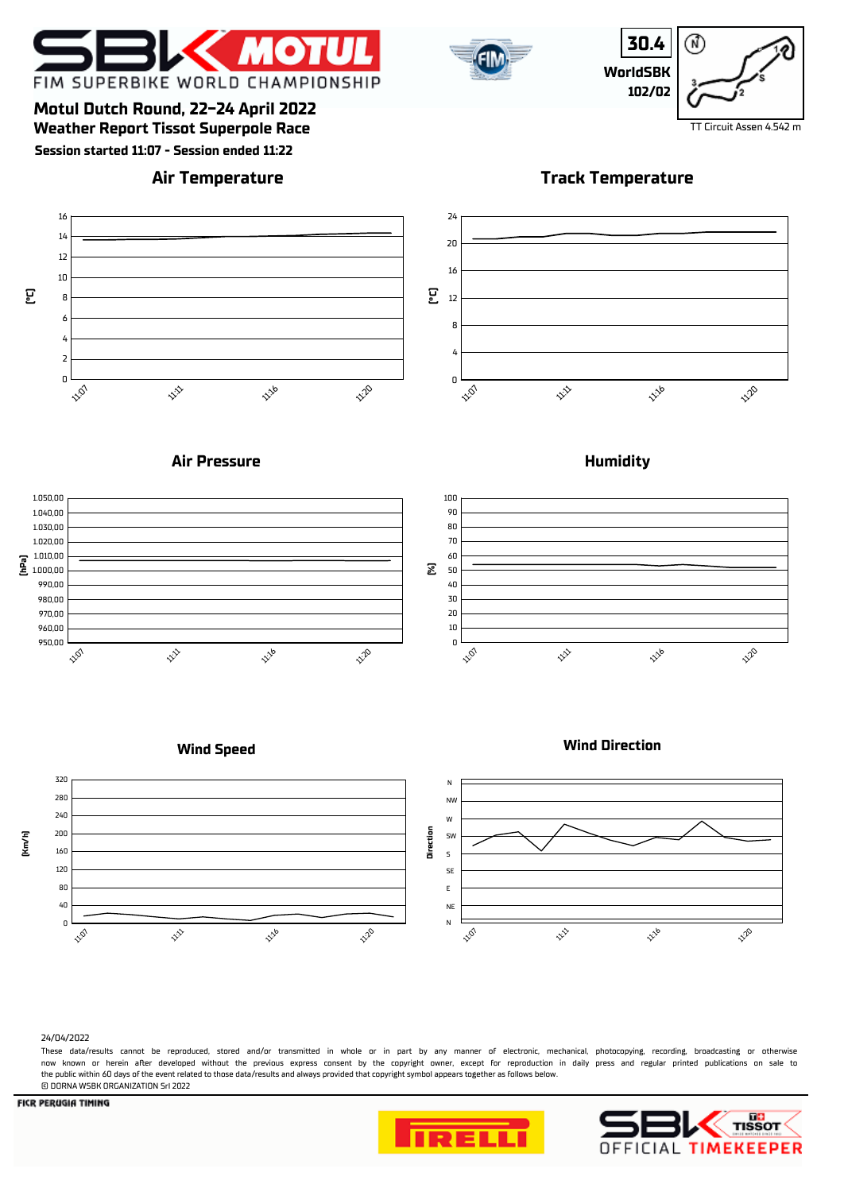



**30.4** ⋒ **WorldSBK 102/02**

**Weather Report Tissot Superpole Race** The Company of the Company of the Company of the Company of the Company of the Company of the Company of the Company of the Company of the Company of the Company of the Company of the **Motul Dutch Round, 22-24 April 2022**

**Session started 11:07 - Session ended 11:22**

### **Air Temperature**

**Track Temperature**



### **Air Pressure**



**Humidity**



### **Wind Speed**





#### 24/04/2022

These data/results cannot be reproduced, stored and/or transmitted in whole or in part by any manner of electronic, mechanical, photocopying, recording, broadcasting or otherwise now known or herein afer developed without the previous express consent by the copyright owner, except for reproduction in daily press and regular printed publications on sale to the public within 60 days of the event related to those data/results and always provided that copyright symbol appears together as follows below. © DORNA WSBK ORGANIZATION Srl 2022





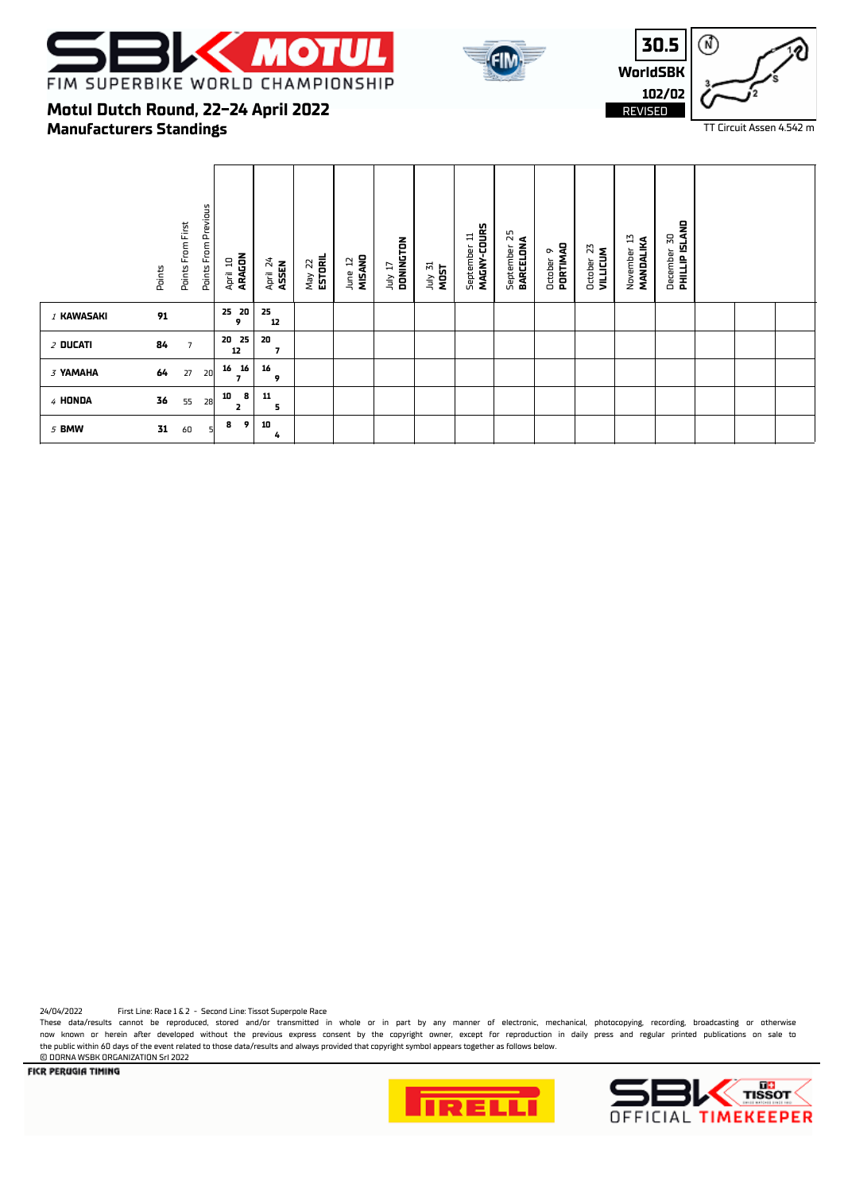





TT Circuit Assen 4.542 m

## **Manufacturers Standings Motul Dutch Round, 22-24 April 2022**

|            | Points | Points From First | Points From Previous | ARAGON<br>April 10        | April 24<br>ASSEN              | May 22<br><b>ESTORIL</b> | MISANO<br>5<br>June | DONINGTON<br>TI VIDL | July 31<br>MOST | MAGNY-COURS<br>September 11 | 25<br>BARCELONA<br>September | PORTIMAD<br>o<br>October | 23<br><b>VILLICUM</b><br>October | $\overline{13}$<br>MANDALIKA<br>November | <b>PHILLIP ISLAND</b><br>50<br>December |  |  |
|------------|--------|-------------------|----------------------|---------------------------|--------------------------------|--------------------------|---------------------|----------------------|-----------------|-----------------------------|------------------------------|--------------------------|----------------------------------|------------------------------------------|-----------------------------------------|--|--|
| 1 KAWASAKI | 91     |                   |                      | 25 20<br>9                | 25<br>12                       |                          |                     |                      |                 |                             |                              |                          |                                  |                                          |                                         |  |  |
| $2$ Ducati | 84     | $\overline{7}$    |                      | 20 25<br>12               | 20<br>$\overline{\phantom{a}}$ |                          |                     |                      |                 |                             |                              |                          |                                  |                                          |                                         |  |  |
| 3 YAMAHA   | 64     | 27                | 20                   | 16<br>16<br>7             | 16<br>9                        |                          |                     |                      |                 |                             |                              |                          |                                  |                                          |                                         |  |  |
| 4 HONDA    | 36     | 55                | 28                   | 8<br>10<br>$\overline{2}$ | 11<br>5                        |                          |                     |                      |                 |                             |                              |                          |                                  |                                          |                                         |  |  |
| 5 BMW      | 31     | 60                | 5                    | 9<br>8                    | 10<br>4                        |                          |                     |                      |                 |                             |                              |                          |                                  |                                          |                                         |  |  |

24/04/2022 First Line: Race 1 & 2 - Second Line: Tissot Superpole Race

These data/results cannot be reproduced, stored and/or transmitted in whole or in part by any manner of electronic, mechanical, photocopying, recording, broadcasting or otherwise now known or herein after developed without the previous express consent by the copyright owner, except for reproduction in daily press and regular printed publications on sale to the public within 60 days of the event related to those data/results and always provided that copyright symbol appears together as follows below.

**E DORNA WSBK ORGANIZATION Srl 2022**<br>**FICR PERUGIA TIMING**